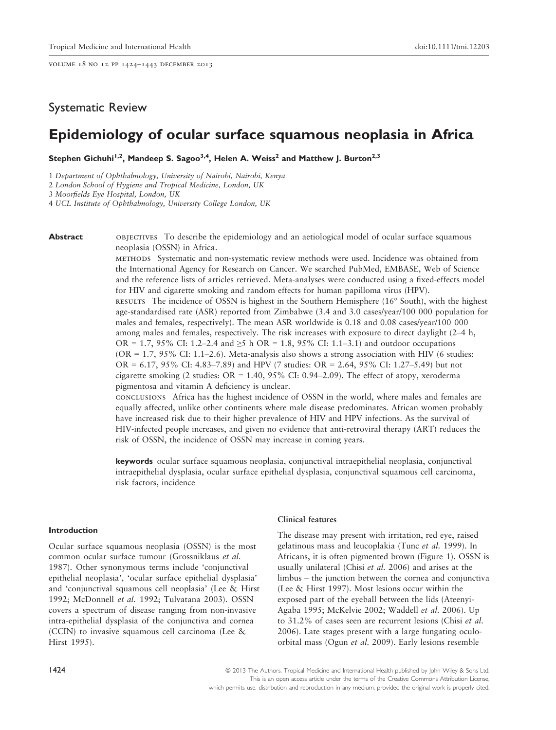volume 18 no 12 pp 1424–1443 december 2013

# Systematic Review

# Epidemiology of ocular surface squamous neoplasia in Africa

Stephen Gichuhi<sup>1,2</sup>, Mandeep S. Sagoo<sup>3,4</sup>, Helen A. Weiss<sup>2</sup> and Matthew J. Burton<sup>2,3</sup>

1 Department of Ophthalmology, University of Nairobi, Nairobi, Kenya

2 London School of Hygiene and Tropical Medicine, London, UK

3 Moorfields Eye Hospital, London, UK

4 UCL Institute of Ophthalmology, University College London, UK

**Abstract** OBJECTIVES To describe the epidemiology and an aetiological model of ocular surface squamous neoplasia (OSSN) in Africa.

> methods Systematic and non-systematic review methods were used. Incidence was obtained from the International Agency for Research on Cancer. We searched PubMed, EMBASE, Web of Science and the reference lists of articles retrieved. Meta-analyses were conducted using a fixed-effects model for HIV and cigarette smoking and random effects for human papilloma virus (HPV). results The incidence of OSSN is highest in the Southern Hemisphere (16 South), with the highest age-standardised rate (ASR) reported from Zimbabwe (3.4 and 3.0 cases/year/100 000 population for

males and females, respectively). The mean ASR worldwide is 0.18 and 0.08 cases/year/100 000 among males and females, respectively. The risk increases with exposure to direct daylight (2–4 h, OR = 1.7, 95% CI: 1.2–2.4 and  $\geq 5$  h OR = 1.8, 95% CI: 1.1–3.1) and outdoor occupations  $(OR = 1.7, 95\% \text{ CI: } 1.1-2.6)$ . Meta-analysis also shows a strong association with HIV (6 studies: OR = 6.17, 95% CI: 4.83–7.89) and HPV (7 studies: OR = 2.64, 95% CI: 1.27–5.49) but not cigarette smoking (2 studies:  $OR = 1.40$ , 95% CI: 0.94–2.09). The effect of atopy, xeroderma pigmentosa and vitamin A deficiency is unclear.

conclusions Africa has the highest incidence of OSSN in the world, where males and females are equally affected, unlike other continents where male disease predominates. African women probably have increased risk due to their higher prevalence of HIV and HPV infections. As the survival of HIV-infected people increases, and given no evidence that anti-retroviral therapy (ART) reduces the risk of OSSN, the incidence of OSSN may increase in coming years.

keywords ocular surface squamous neoplasia, conjunctival intraepithelial neoplasia, conjunctival intraepithelial dysplasia, ocular surface epithelial dysplasia, conjunctival squamous cell carcinoma, risk factors, incidence

# Introduction

Ocular surface squamous neoplasia (OSSN) is the most common ocular surface tumour (Grossniklaus et al. 1987). Other synonymous terms include 'conjunctival epithelial neoplasia', 'ocular surface epithelial dysplasia' and 'conjunctival squamous cell neoplasia' (Lee & Hirst 1992; McDonnell et al. 1992; Tulvatana 2003). OSSN covers a spectrum of disease ranging from non-invasive intra-epithelial dysplasia of the conjunctiva and cornea (CCIN) to invasive squamous cell carcinoma (Lee & Hirst 1995).

# Clinical features

The disease may present with irritation, red eye, raised gelatinous mass and leucoplakia (Tunc et al. 1999). In Africans, it is often pigmented brown (Figure 1). OSSN is usually unilateral (Chisi et al. 2006) and arises at the limbus – the junction between the cornea and conjunctiva (Lee & Hirst 1997). Most lesions occur within the exposed part of the eyeball between the lids (Ateenyi-Agaba 1995; McKelvie 2002; Waddell et al. 2006). Up to 31.2% of cases seen are recurrent lesions (Chisi et al. 2006). Late stages present with a large fungating oculoorbital mass (Ogun et al. 2009). Early lesions resemble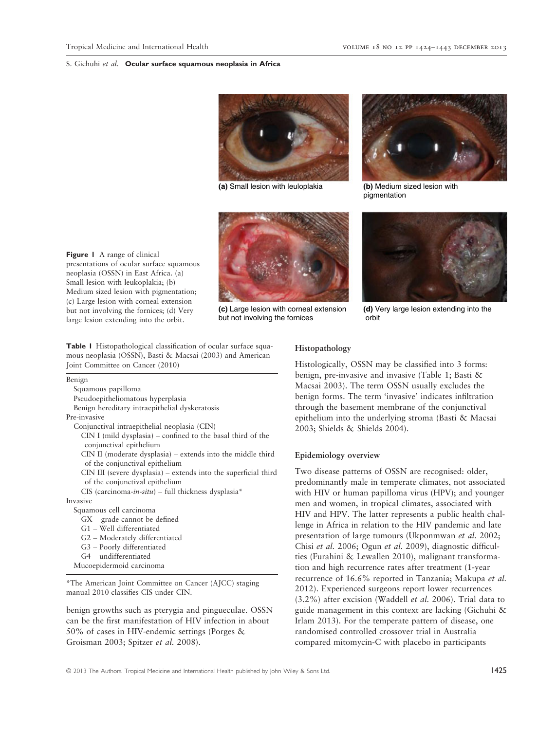



**(c)** Large lesion with corneal extension but not involving the fornices



**(a)** Small lesion with leuloplakia **(b)** Medium sized lesion with pigmentation



**(d)** Very large lesion extending into the orbit

Figure 1 A range of clinical presentations of ocular surface squamous neoplasia (OSSN) in East Africa. (a) Small lesion with leukoplakia; (b) Medium sized lesion with pigmentation; (c) Large lesion with corneal extension but not involving the fornices; (d) Very large lesion extending into the orbit.

Table 1 Histopathological classification of ocular surface squamous neoplasia (OSSN), Basti & Macsai (2003) and American Joint Committee on Cancer (2010)

Benign Squamous papilloma Pseudoepitheliomatous hyperplasia Benign hereditary intraepithelial dyskeratosis Pre-invasive Conjunctival intraepithelial neoplasia (CIN) CIN I (mild dysplasia) – confined to the basal third of the conjunctival epithelium CIN II (moderate dysplasia) – extends into the middle third of the conjunctival epithelium CIN III (severe dysplasia) – extends into the superficial third of the conjunctival epithelium CIS (carcinoma-in-situ) – full thickness dysplasia\* Invasive Squamous cell carcinoma GX – grade cannot be defined G1 – Well differentiated G2 – Moderately differentiated G3 – Poorly differentiated G4 – undifferentiated Mucoepidermoid carcinoma

\*The American Joint Committee on Cancer (AJCC) staging manual 2010 classifies CIS under CIN.

benign growths such as pterygia and pingueculae. OSSN can be the first manifestation of HIV infection in about 50% of cases in HIV-endemic settings (Porges & Groisman 2003; Spitzer et al. 2008).

# Histopathology

Histologically, OSSN may be classified into 3 forms: benign, pre-invasive and invasive (Table 1; Basti & Macsai 2003). The term OSSN usually excludes the benign forms. The term 'invasive' indicates infiltration through the basement membrane of the conjunctival epithelium into the underlying stroma (Basti & Macsai 2003; Shields & Shields 2004).

# Epidemiology overview

Two disease patterns of OSSN are recognised: older, predominantly male in temperate climates, not associated with HIV or human papilloma virus (HPV); and younger men and women, in tropical climates, associated with HIV and HPV. The latter represents a public health challenge in Africa in relation to the HIV pandemic and late presentation of large tumours (Ukponmwan et al. 2002; Chisi et al. 2006; Ogun et al. 2009), diagnostic difficulties (Furahini & Lewallen 2010), malignant transformation and high recurrence rates after treatment (1-year recurrence of 16.6% reported in Tanzania; Makupa et al. 2012). Experienced surgeons report lower recurrences (3.2%) after excision (Waddell et al. 2006). Trial data to guide management in this context are lacking (Gichuhi & Irlam 2013). For the temperate pattern of disease, one randomised controlled crossover trial in Australia compared mitomycin-C with placebo in participants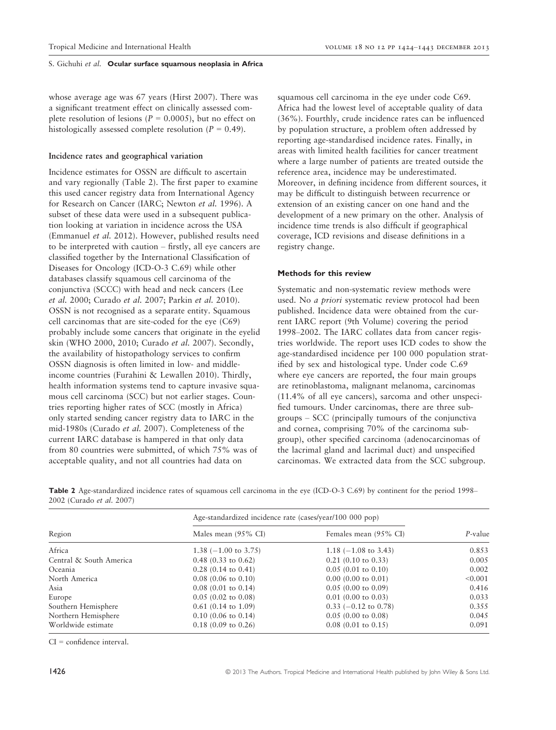whose average age was 67 years (Hirst 2007). There was a significant treatment effect on clinically assessed complete resolution of lesions ( $P = 0.0005$ ), but no effect on histologically assessed complete resolution ( $P = 0.49$ ).

# Incidence rates and geographical variation

Incidence estimates for OSSN are difficult to ascertain and vary regionally (Table 2). The first paper to examine this used cancer registry data from International Agency for Research on Cancer (IARC; Newton et al. 1996). A subset of these data were used in a subsequent publication looking at variation in incidence across the USA (Emmanuel et al. 2012). However, published results need to be interpreted with caution – firstly, all eye cancers are classified together by the International Classification of Diseases for Oncology (ICD-O-3 C.69) while other databases classify squamous cell carcinoma of the conjunctiva (SCCC) with head and neck cancers (Lee et al. 2000; Curado et al. 2007; Parkin et al. 2010). OSSN is not recognised as a separate entity. Squamous cell carcinomas that are site-coded for the eye (C69) probably include some cancers that originate in the eyelid skin (WHO 2000, 2010; Curado et al. 2007). Secondly, the availability of histopathology services to confirm OSSN diagnosis is often limited in low- and middleincome countries (Furahini & Lewallen 2010). Thirdly, health information systems tend to capture invasive squamous cell carcinoma (SCC) but not earlier stages. Countries reporting higher rates of SCC (mostly in Africa) only started sending cancer registry data to IARC in the mid-1980s (Curado et al. 2007). Completeness of the current IARC database is hampered in that only data from 80 countries were submitted, of which 75% was of acceptable quality, and not all countries had data on

squamous cell carcinoma in the eye under code C69. Africa had the lowest level of acceptable quality of data (36%). Fourthly, crude incidence rates can be influenced by population structure, a problem often addressed by reporting age-standardised incidence rates. Finally, in areas with limited health facilities for cancer treatment where a large number of patients are treated outside the reference area, incidence may be underestimated. Moreover, in defining incidence from different sources, it may be difficult to distinguish between recurrence or extension of an existing cancer on one hand and the development of a new primary on the other. Analysis of incidence time trends is also difficult if geographical coverage, ICD revisions and disease definitions in a registry change.

# Methods for this review

Systematic and non-systematic review methods were used. No a priori systematic review protocol had been published. Incidence data were obtained from the current IARC report (9th Volume) covering the period 1998–2002. The IARC collates data from cancer registries worldwide. The report uses ICD codes to show the age-standardised incidence per 100 000 population stratified by sex and histological type. Under code C.69 where eye cancers are reported, the four main groups are retinoblastoma, malignant melanoma, carcinomas (11.4% of all eye cancers), sarcoma and other unspecified tumours. Under carcinomas, there are three subgroups – SCC (principally tumours of the conjunctiva and cornea, comprising 70% of the carcinoma subgroup), other specified carcinoma (adenocarcinomas of the lacrimal gland and lacrimal duct) and unspecified carcinomas. We extracted data from the SCC subgroup.

Table 2 Age-standardized incidence rates of squamous cell carcinoma in the eye (ICD-O-3 C.69) by continent for the period 1998– 2002 (Curado et al. 2007)

|                         | Age-standardized incidence rate (cases/year/100 000 pop) |                               |            |
|-------------------------|----------------------------------------------------------|-------------------------------|------------|
| Region                  | Males mean (95% CI)                                      | Females mean (95% CI)         | $P$ -value |
| Africa                  | 1.38 $(-1.00 \text{ to } 3.75)$                          | $1.18$ (-1.08 to 3.43)        | 0.853      |
| Central & South America | $0.48$ (0.33 to 0.62)                                    | $0.21$ (0.10 to 0.33)         | 0.005      |
| Oceania                 | $0.28$ (0.14 to 0.41)                                    | $0.05(0.01 \text{ to } 0.10)$ | 0.002      |
| North America           | $0.08$ (0.06 to 0.10)                                    | $0.00$ (0.00 to 0.01)         | < 0.001    |
| Asia                    | $0.08$ (0.01 to 0.14)                                    | $0.05(0.00 \text{ to } 0.09)$ | 0.416      |
| Europe                  | $0.05(0.02 \text{ to } 0.08)$                            | $0.01$ (0.00 to 0.03)         | 0.033      |
| Southern Hemisphere     | $0.61$ (0.14 to 1.09)                                    | $0.33$ (-0.12 to 0.78)        | 0.355      |
| Northern Hemisphere     | $0.10$ (0.06 to 0.14)                                    | $0.05(0.00 \text{ to } 0.08)$ | 0.045      |
| Worldwide estimate      | $0.18(0.09)$ to $0.26$                                   | $0.08$ (0.01 to 0.15)         | 0.091      |

CI = confidence interval.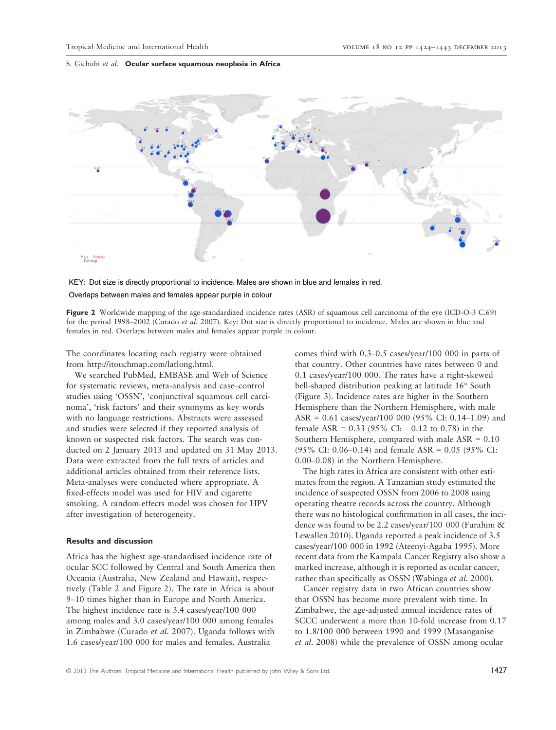

KEY: Dot size is directly proportional to incidence. Males are shown in blue and females in red. Overlaps between males and females appear purple in colour

Figure 2 Worldwide mapping of the age-standardized incidence rates (ASR) of squamous cell carcinoma of the eye (ICD-O-3 C.69) for the period 1998–2002 (Curado et al. 2007). Key: Dot size is directly proportional to incidence. Males are shown in blue and females in red. Overlaps between males and females appear purple in colour.

The coordinates locating each registry were obtained from http://itouchmap.com/latlong.html.

We searched PubMed, EMBASE and Web of Science for systematic reviews, meta-analysis and case–control studies using 'OSSN', 'conjunctival squamous cell carcinoma', 'risk factors' and their synonyms as key words with no language restrictions. Abstracts were assessed and studies were selected if they reported analysis of known or suspected risk factors. The search was conducted on 2 January 2013 and updated on 31 May 2013. Data were extracted from the full texts of articles and additional articles obtained from their reference lists. Meta-analyses were conducted where appropriate. A fixed-effects model was used for HIV and cigarette smoking. A random-effects model was chosen for HPV after investigation of heterogeneity.

# Results and discussion

Africa has the highest age-standardised incidence rate of ocular SCC followed by Central and South America then Oceania (Australia, New Zealand and Hawaii), respectively (Table 2 and Figure 2). The rate in Africa is about 9–10 times higher than in Europe and North America. The highest incidence rate is 3.4 cases/year/100 000 among males and 3.0 cases/year/100 000 among females in Zimbabwe (Curado et al. 2007). Uganda follows with 1.6 cases/year/100 000 for males and females. Australia

comes third with 0.3–0.5 cases/year/100 000 in parts of that country. Other countries have rates between 0 and 0.1 cases/year/100 000. The rates have a right-skewed bell-shaped distribution peaking at latitude 16° South (Figure 3). Incidence rates are higher in the Southern Hemisphere than the Northern Hemisphere, with male ASR = 0.61 cases/year/100 000 (95% CI: 0.14–1.09) and female ASR =  $0.33$  (95% CI:  $-0.12$  to 0.78) in the Southern Hemisphere, compared with male ASR = 0.10 (95% CI: 0.06–0.14) and female ASR = 0.05 (95% CI: 0.00–0.08) in the Northern Hemisphere.

The high rates in Africa are consistent with other estimates from the region. A Tanzanian study estimated the incidence of suspected OSSN from 2006 to 2008 using operating theatre records across the country. Although there was no histological confirmation in all cases, the incidence was found to be 2.2 cases/year/100 000 (Furahini & Lewallen 2010). Uganda reported a peak incidence of 3.5 cases/year/100 000 in 1992 (Ateenyi-Agaba 1995). More recent data from the Kampala Cancer Registry also show a marked increase, although it is reported as ocular cancer, rather than specifically as OSSN (Wabinga et al. 2000).

Cancer registry data in two African countries show that OSSN has become more prevalent with time. In Zimbabwe, the age-adjusted annual incidence rates of SCCC underwent a more than 10-fold increase from 0.17 to 1.8/100 000 between 1990 and 1999 (Masanganise et al. 2008) while the prevalence of OSSN among ocular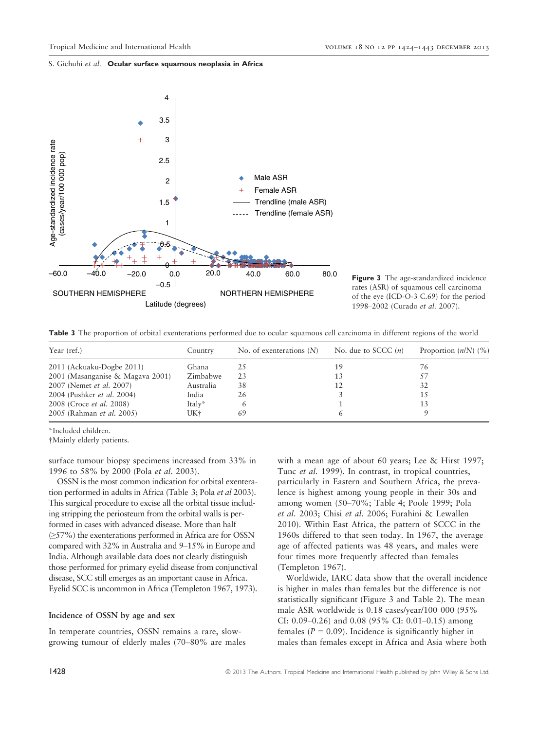

Figure 3 The age-standardized incidence rates (ASR) of squamous cell carcinoma of the eye (ICD-O-3 C.69) for the period 1998–2002 (Curado et al. 2007).

Table 3 The proportion of orbital exenterations performed due to ocular squamous cell carcinoma in different regions of the world

| Year (ref.)                      | Country   | No. of exenterations $(N)$ | No. due to SCCC $(n)$ | Proportion $(n/N)$ (%) |
|----------------------------------|-----------|----------------------------|-----------------------|------------------------|
| 2011 (Ackuaku-Dogbe 2011)        | Ghana     | 25                         |                       | 76                     |
| 2001 (Masanganise & Magava 2001) | Zimbabwe  | 23                         |                       | .57                    |
| 2007 (Nemet et al. 2007)         | Australia | 38                         |                       | 32                     |
| 2004 (Pushker et al. 2004)       | India     | 26                         |                       | 15                     |
| 2008 (Croce <i>et al.</i> 2008)  | Italy*    |                            |                       | 13                     |
| 2005 (Rahman et al. 2005)        | UK†       | 69                         | h                     |                        |

\*Included children.

†Mainly elderly patients.

surface tumour biopsy specimens increased from 33% in 1996 to 58% by 2000 (Pola et al. 2003).

OSSN is the most common indication for orbital exenteration performed in adults in Africa (Table 3; Pola et al 2003). This surgical procedure to excise all the orbital tissue including stripping the periosteum from the orbital walls is performed in cases with advanced disease. More than half (≥57%) the exenterations performed in Africa are for OSSN compared with 32% in Australia and 9–15% in Europe and India. Although available data does not clearly distinguish those performed for primary eyelid disease from conjunctival disease, SCC still emerges as an important cause in Africa. Eyelid SCC is uncommon in Africa (Templeton 1967, 1973).

#### Incidence of OSSN by age and sex

In temperate countries, OSSN remains a rare, slowgrowing tumour of elderly males (70–80% are males with a mean age of about 60 years; Lee & Hirst 1997; Tunc et al. 1999). In contrast, in tropical countries, particularly in Eastern and Southern Africa, the prevalence is highest among young people in their 30s and among women (50–70%; Table 4; Poole 1999; Pola et al. 2003; Chisi et al. 2006; Furahini & Lewallen 2010). Within East Africa, the pattern of SCCC in the 1960s differed to that seen today. In 1967, the average age of affected patients was 48 years, and males were four times more frequently affected than females (Templeton 1967).

Worldwide, IARC data show that the overall incidence is higher in males than females but the difference is not statistically significant (Figure 3 and Table 2). The mean male ASR worldwide is 0.18 cases/year/100 000 (95% CI: 0.09–0.26) and 0.08 (95% CI: 0.01–0.15) among females ( $P = 0.09$ ). Incidence is significantly higher in males than females except in Africa and Asia where both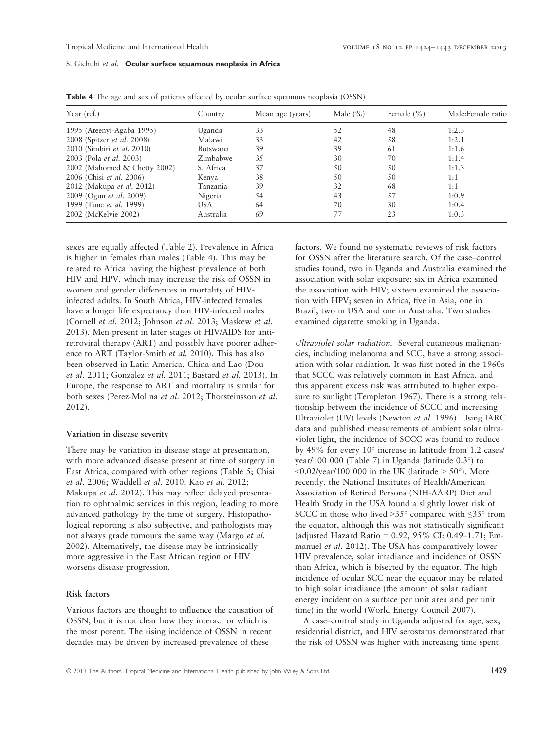| Year (ref.)                    | Country   | Mean age (years) | Male $(\% )$ | Female $(\% )$ | Male: Female ratio |
|--------------------------------|-----------|------------------|--------------|----------------|--------------------|
| 1995 (Ateenyi-Agaba 1995)      | Uganda    | 33               | 52           | 48             | 1:2.3              |
| 2008 (Spitzer et al. 2008)     | Malawi    | 33               | 42           | 58             | 1:2.1              |
| 2010 (Simbiri et al. 2010)     | Botswana  | 39               | 39           | 61             | 1:1.6              |
| 2003 (Pola <i>et al.</i> 2003) | Zimbabwe  | 35               | 30           | 70             | 1:1.4              |
| 2002 (Mahomed & Chetty 2002)   | S. Africa | 37               | 50           | 50             | 1:1.3              |
| 2006 (Chisi et al. 2006)       | Kenya     | 38               | 50           | 50             | 1:1                |
| 2012 (Makupa et al. 2012)      | Tanzania  | 39               | 32           | 68             | 1:1                |
| 2009 (Ogun et al. 2009)        | Nigeria   | 54               | 43           | 57             | 1:0.9              |
| 1999 (Tunc <i>et al.</i> 1999) | USA       | 64               | 70           | 30             | 1:0.4              |
| 2002 (McKelvie 2002)           | Australia | 69               | 77           | 23             | 1:0.3              |

Table 4 The age and sex of patients affected by ocular surface squamous neoplasia (OSSN)

sexes are equally affected (Table 2). Prevalence in Africa is higher in females than males (Table 4). This may be related to Africa having the highest prevalence of both HIV and HPV, which may increase the risk of OSSN in women and gender differences in mortality of HIVinfected adults. In South Africa, HIV-infected females have a longer life expectancy than HIV-infected males (Cornell et al. 2012; Johnson et al. 2013; Maskew et al. 2013). Men present in later stages of HIV/AIDS for antiretroviral therapy (ART) and possibly have poorer adherence to ART (Taylor-Smith et al. 2010). This has also been observed in Latin America, China and Lao (Dou et al. 2011; Gonzalez et al. 2011; Bastard et al. 2013). In Europe, the response to ART and mortality is similar for both sexes (Perez-Molina et al. 2012; Thorsteinsson et al. 2012).

# Variation in disease severity

There may be variation in disease stage at presentation, with more advanced disease present at time of surgery in East Africa, compared with other regions (Table 5; Chisi et al. 2006; Waddell et al. 2010; Kao et al. 2012; Makupa et al. 2012). This may reflect delayed presentation to ophthalmic services in this region, leading to more advanced pathology by the time of surgery. Histopathological reporting is also subjective, and pathologists may not always grade tumours the same way (Margo et al. 2002). Alternatively, the disease may be intrinsically more aggressive in the East African region or HIV worsens disease progression.

# Risk factors

Various factors are thought to influence the causation of OSSN, but it is not clear how they interact or which is the most potent. The rising incidence of OSSN in recent decades may be driven by increased prevalence of these

factors. We found no systematic reviews of risk factors for OSSN after the literature search. Of the case–control studies found, two in Uganda and Australia examined the association with solar exposure; six in Africa examined the association with HIV; sixteen examined the association with HPV; seven in Africa, five in Asia, one in Brazil, two in USA and one in Australia. Two studies examined cigarette smoking in Uganda.

Ultraviolet solar radiation. Several cutaneous malignancies, including melanoma and SCC, have a strong association with solar radiation. It was first noted in the 1960s that SCCC was relatively common in East Africa, and this apparent excess risk was attributed to higher exposure to sunlight (Templeton 1967). There is a strong relationship between the incidence of SCCC and increasing Ultraviolet (UV) levels (Newton et al. 1996). Using IARC data and published measurements of ambient solar ultraviolet light, the incidence of SCCC was found to reduce by 49% for every 10° increase in latitude from 1.2 cases/ year/100 000 (Table 7) in Uganda (latitude 0.3°) to  $\leq 0.02$ /year/100 000 in the UK (latitude > 50°). More recently, the National Institutes of Health/American Association of Retired Persons (NIH-AARP) Diet and Health Study in the USA found a slightly lower risk of SCCC in those who lived >35° compared with ≤35° from the equator, although this was not statistically significant (adjusted Hazard Ratio = 0.92, 95% CI: 0.49–1.71; Emmanuel et al. 2012). The USA has comparatively lower HIV prevalence, solar irradiance and incidence of OSSN than Africa, which is bisected by the equator. The high incidence of ocular SCC near the equator may be related to high solar irradiance (the amount of solar radiant energy incident on a surface per unit area and per unit time) in the world (World Energy Council 2007).

A case–control study in Uganda adjusted for age, sex, residential district, and HIV serostatus demonstrated that the risk of OSSN was higher with increasing time spent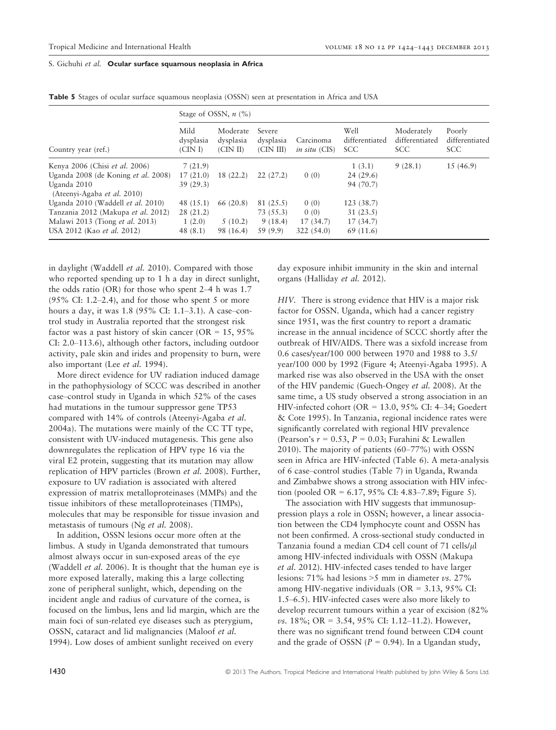|                                            |                             | Stage of OSSN, $n$ (%)            |                                  |                                   |                                      |                                            |                                        |
|--------------------------------------------|-----------------------------|-----------------------------------|----------------------------------|-----------------------------------|--------------------------------------|--------------------------------------------|----------------------------------------|
| Country year (ref.)                        | Mild<br>dysplasia<br>(CINI) | Moderate<br>dysplasia<br>(CIN II) | Severe<br>dysplasia<br>(CIN III) | Carcinoma<br><i>in situ</i> (CIS) | Well<br>differentiated<br><b>SCC</b> | Moderately<br>differentiated<br><b>SCC</b> | Poorly<br>differentiated<br><b>SCC</b> |
| Kenya 2006 (Chisi et al. 2006)             | 7(21.9)                     |                                   |                                  |                                   | 1(3.1)                               | 9(28.1)                                    | 15(46.9)                               |
| Uganda 2008 (de Koning et al. 2008)        | 17(21.0)                    | 18 (22.2)                         | 22(27.2)                         | 0(0)                              | 24(29.6)                             |                                            |                                        |
| Uganda 2010<br>(Ateenyi-Agaba et al. 2010) | 39(29.3)                    |                                   |                                  |                                   | 94 (70.7)                            |                                            |                                        |
| Uganda 2010 (Waddell et al. 2010)          | 48 (15.1)                   | 66 (20.8)                         | 81 (25.5)                        | 0(0)                              | 123 (38.7)                           |                                            |                                        |
| Tanzania 2012 (Makupa et al. 2012)         | 28(21.2)                    |                                   | 73 (55.3)                        | 0(0)                              | 31(23.5)                             |                                            |                                        |
| Malawi 2013 (Tiong <i>et al.</i> 2013)     | 1(2.0)                      | 5(10.2)                           | 9(18.4)                          | 17(34.7)                          | 17(34.7)                             |                                            |                                        |
| USA 2012 (Kao et al. 2012)                 | 48(8.1)                     | 98 (16.4)                         | 59 (9.9)                         | 322(54.0)                         | 69 (11.6)                            |                                            |                                        |

Table 5 Stages of ocular surface squamous neoplasia (OSSN) seen at presentation in Africa and USA

in daylight (Waddell et al. 2010). Compared with those who reported spending up to 1 h a day in direct sunlight, the odds ratio (OR) for those who spent 2–4 h was 1.7  $(95\% \text{ CI: } 1.2-2.4)$ , and for those who spent 5 or more hours a day, it was 1.8 (95% CI: 1.1–3.1). A case–control study in Australia reported that the strongest risk factor was a past history of skin cancer (OR =  $15,95\%$ CI: 2.0–113.6), although other factors, including outdoor activity, pale skin and irides and propensity to burn, were also important (Lee et al. 1994).

More direct evidence for UV radiation induced damage in the pathophysiology of SCCC was described in another case–control study in Uganda in which 52% of the cases had mutations in the tumour suppressor gene TP53 compared with 14% of controls (Ateenyi-Agaba et al. 2004a). The mutations were mainly of the CC TT type, consistent with UV-induced mutagenesis. This gene also downregulates the replication of HPV type 16 via the viral E2 protein, suggesting that its mutation may allow replication of HPV particles (Brown et al. 2008). Further, exposure to UV radiation is associated with altered expression of matrix metalloproteinases (MMPs) and the tissue inhibitors of these metalloproteinases (TIMPs), molecules that may be responsible for tissue invasion and metastasis of tumours (Ng et al. 2008).

In addition, OSSN lesions occur more often at the limbus. A study in Uganda demonstrated that tumours almost always occur in sun-exposed areas of the eye (Waddell et al. 2006). It is thought that the human eye is more exposed laterally, making this a large collecting zone of peripheral sunlight, which, depending on the incident angle and radius of curvature of the cornea, is focused on the limbus, lens and lid margin, which are the main foci of sun-related eye diseases such as pterygium, OSSN, cataract and lid malignancies (Maloof et al. 1994). Low doses of ambient sunlight received on every

day exposure inhibit immunity in the skin and internal organs (Halliday et al. 2012).

HIV. There is strong evidence that HIV is a major risk factor for OSSN. Uganda, which had a cancer registry since 1951, was the first country to report a dramatic increase in the annual incidence of SCCC shortly after the outbreak of HIV/AIDS. There was a sixfold increase from 0.6 cases/year/100 000 between 1970 and 1988 to 3.5/ year/100 000 by 1992 (Figure 4; Ateenyi-Agaba 1995). A marked rise was also observed in the USA with the onset of the HIV pandemic (Guech-Ongey et al. 2008). At the same time, a US study observed a strong association in an HIV-infected cohort (OR = 13.0, 95% CI: 4–34; Goedert & Cote 1995). In Tanzania, regional incidence rates were significantly correlated with regional HIV prevalence (Pearson's  $r = 0.53$ ,  $P = 0.03$ ; Furahini & Lewallen 2010). The majority of patients (60–77%) with OSSN seen in Africa are HIV-infected (Table 6). A meta-analysis of 6 case–control studies (Table 7) in Uganda, Rwanda and Zimbabwe shows a strong association with HIV infection (pooled OR =  $6.17, 95\%$  CI: 4.83–7.89; Figure 5).

The association with HIV suggests that immunosuppression plays a role in OSSN; however, a linear association between the CD4 lymphocyte count and OSSN has not been confirmed. A cross-sectional study conducted in Tanzania found a median CD4 cell count of 71 cells/ $\mu$ l among HIV-infected individuals with OSSN (Makupa et al. 2012). HIV-infected cases tended to have larger lesions: 71% had lesions  $>5$  mm in diameter vs. 27% among HIV-negative individuals ( $OR = 3.13$ ,  $95\%$  CI: 1.5–6.5). HIV-infected cases were also more likely to develop recurrent tumours within a year of excision (82%  $\nu$ s. 18%; OR = 3.54, 95% CI: 1.12–11.2). However, there was no significant trend found between CD4 count and the grade of OSSN  $(P = 0.94)$ . In a Ugandan study,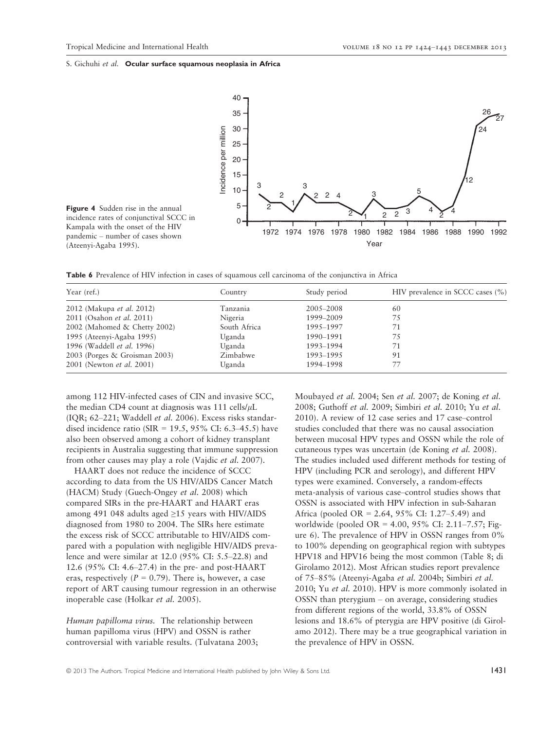

Table 6 Prevalence of HIV infection in cases of squamous cell carcinoma of the conjunctiva in Africa

| Year (ref.)                       | Country      | Study period | HIV prevalence in SCCC cases (%) |
|-----------------------------------|--------------|--------------|----------------------------------|
| 2012 (Makupa et al. 2012)         | Tanzania     | 2005-2008    | 60                               |
| 2011 (Osahon et al. 2011)         | Nigeria      | 1999-2009    | 75                               |
| 2002 (Mahomed & Chetty 2002)      | South Africa | 1995–1997    | 71                               |
| 1995 (Ateenyi-Agaba 1995)         | Uganda       | 1990–1991    | 75                               |
| 1996 (Waddell <i>et al.</i> 1996) | Uganda       | 1993-1994    | 71                               |
| 2003 (Porges & Groisman 2003)     | Zimbabwe     | 1993-1995    | 91                               |
| 2001 (Newton <i>et al.</i> 2001)  | Uganda       | 1994-1998    | 77                               |

among 112 HIV-infected cases of CIN and invasive SCC, the median CD4 count at diagnosis was  $111$  cells/ $\mu$ L (IQR; 62–221; Waddell et al. 2006). Excess risks standardised incidence ratio (SIR = 19.5, 95% CI: 6.3–45.5) have also been observed among a cohort of kidney transplant recipients in Australia suggesting that immune suppression from other causes may play a role (Vajdic et al. 2007).

HAART does not reduce the incidence of SCCC according to data from the US HIV/AIDS Cancer Match (HACM) Study (Guech-Ongey et al. 2008) which compared SIRs in the pre-HAART and HAART eras among 491 048 adults aged ≥15 years with HIV/AIDS diagnosed from 1980 to 2004. The SIRs here estimate the excess risk of SCCC attributable to HIV/AIDS compared with a population with negligible HIV/AIDS prevalence and were similar at 12.0 (95% CI: 5.5–22.8) and 12.6 (95% CI: 4.6–27.4) in the pre- and post-HAART eras, respectively ( $P = 0.79$ ). There is, however, a case report of ART causing tumour regression in an otherwise inoperable case (Holkar et al. 2005).

Human papilloma virus. The relationship between human papilloma virus (HPV) and OSSN is rather controversial with variable results. (Tulvatana 2003; Moubayed et al. 2004; Sen et al. 2007; de Koning et al. 2008; Guthoff et al. 2009; Simbiri et al. 2010; Yu et al. 2010). A review of 12 case series and 17 case–control studies concluded that there was no causal association between mucosal HPV types and OSSN while the role of cutaneous types was uncertain (de Koning et al. 2008). The studies included used different methods for testing of HPV (including PCR and serology), and different HPV types were examined. Conversely, a random-effects meta-analysis of various case–control studies shows that OSSN is associated with HPV infection in sub-Saharan Africa (pooled OR = 2.64, 95% CI: 1.27–5.49) and worldwide (pooled OR = 4.00, 95% CI: 2.11–7.57; Figure 6). The prevalence of HPV in OSSN ranges from 0% to 100% depending on geographical region with subtypes HPV18 and HPV16 being the most common (Table 8; di Girolamo 2012). Most African studies report prevalence of 75–85% (Ateenyi-Agaba et al. 2004b; Simbiri et al. 2010; Yu et al. 2010). HPV is more commonly isolated in OSSN than pterygium – on average, considering studies from different regions of the world, 33.8% of OSSN lesions and 18.6% of pterygia are HPV positive (di Girolamo 2012). There may be a true geographical variation in the prevalence of HPV in OSSN.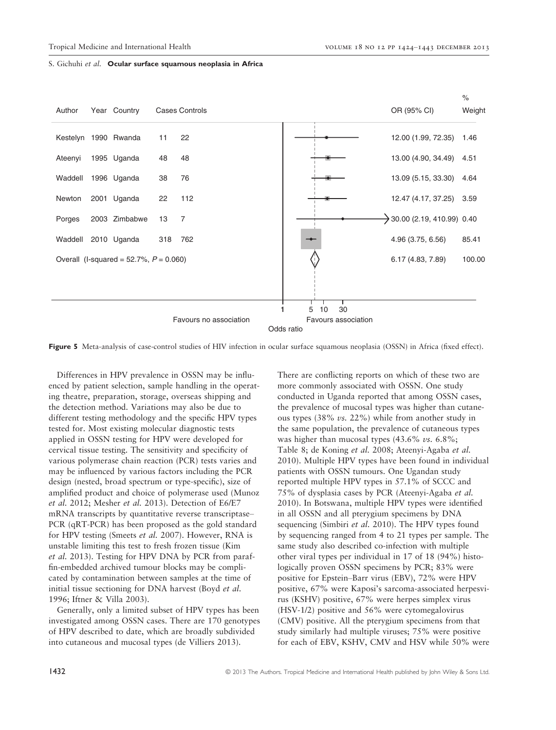

Figure 5 Meta-analysis of case-control studies of HIV infection in ocular surface squamous neoplasia (OSSN) in Africa (fixed effect).

Differences in HPV prevalence in OSSN may be influenced by patient selection, sample handling in the operating theatre, preparation, storage, overseas shipping and the detection method. Variations may also be due to different testing methodology and the specific HPV types tested for. Most existing molecular diagnostic tests applied in OSSN testing for HPV were developed for cervical tissue testing. The sensitivity and specificity of various polymerase chain reaction (PCR) tests varies and may be influenced by various factors including the PCR design (nested, broad spectrum or type-specific), size of amplified product and choice of polymerase used (Munoz et al. 2012; Mesher et al. 2013). Detection of E6/E7 mRNA transcripts by quantitative reverse transcriptase– PCR (qRT-PCR) has been proposed as the gold standard for HPV testing (Smeets et al. 2007). However, RNA is unstable limiting this test to fresh frozen tissue (Kim et al. 2013). Testing for HPV DNA by PCR from paraffin-embedded archived tumour blocks may be complicated by contamination between samples at the time of initial tissue sectioning for DNA harvest (Boyd et al. 1996; Iftner & Villa 2003).

Generally, only a limited subset of HPV types has been investigated among OSSN cases. There are 170 genotypes of HPV described to date, which are broadly subdivided into cutaneous and mucosal types (de Villiers 2013).

There are conflicting reports on which of these two are more commonly associated with OSSN. One study conducted in Uganda reported that among OSSN cases, the prevalence of mucosal types was higher than cutaneous types  $(38\% \text{ vs. } 22\%)$  while from another study in the same population, the prevalence of cutaneous types was higher than mucosal types  $(43.6\% \text{ vs. } 6.8\%);$ Table 8; de Koning et al. 2008; Ateenyi-Agaba et al. 2010). Multiple HPV types have been found in individual patients with OSSN tumours. One Ugandan study reported multiple HPV types in 57.1% of SCCC and 75% of dysplasia cases by PCR (Ateenyi-Agaba et al. 2010). In Botswana, multiple HPV types were identified in all OSSN and all pterygium specimens by DNA sequencing (Simbiri et al. 2010). The HPV types found by sequencing ranged from 4 to 21 types per sample. The same study also described co-infection with multiple other viral types per individual in 17 of 18 (94%) histologically proven OSSN specimens by PCR; 83% were positive for Epstein–Barr virus (EBV), 72% were HPV positive, 67% were Kaposi's sarcoma-associated herpesvirus (KSHV) positive, 67% were herpes simplex virus (HSV-1/2) positive and 56% were cytomegalovirus (CMV) positive. All the pterygium specimens from that study similarly had multiple viruses; 75% were positive for each of EBV, KSHV, CMV and HSV while 50% were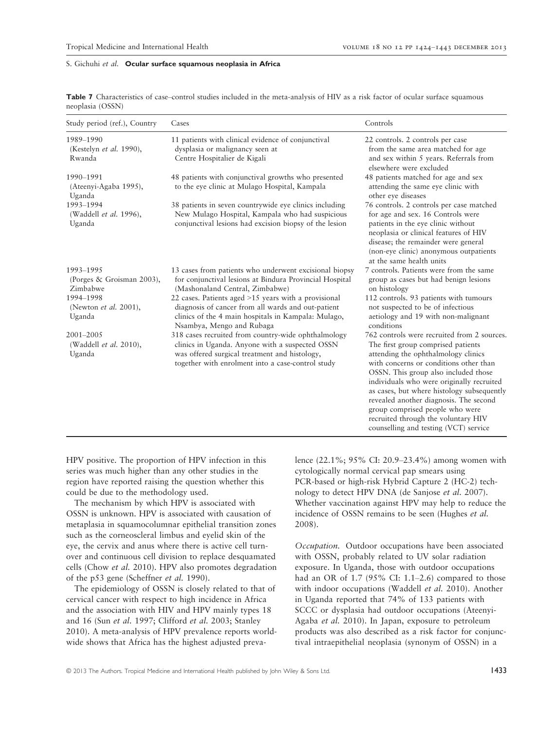| Study period (ref.), Country                        | Cases                                                                                                                                                                                                        | Controls                                                                                                                                                                                                                                                                                                                                                                                                                                                           |
|-----------------------------------------------------|--------------------------------------------------------------------------------------------------------------------------------------------------------------------------------------------------------------|--------------------------------------------------------------------------------------------------------------------------------------------------------------------------------------------------------------------------------------------------------------------------------------------------------------------------------------------------------------------------------------------------------------------------------------------------------------------|
| 1989-1990<br>(Kestelyn et al. 1990),<br>Rwanda      | 11 patients with clinical evidence of conjunctival<br>dysplasia or malignancy seen at<br>Centre Hospitalier de Kigali                                                                                        | 22 controls. 2 controls per case<br>from the same area matched for age<br>and sex within 5 years. Referrals from<br>elsewhere were excluded                                                                                                                                                                                                                                                                                                                        |
| 1990-1991<br>(Ateenyi-Agaba 1995),<br>Uganda        | 48 patients with conjunctival growths who presented<br>to the eye clinic at Mulago Hospital, Kampala                                                                                                         | 48 patients matched for age and sex<br>attending the same eye clinic with<br>other eye diseases                                                                                                                                                                                                                                                                                                                                                                    |
| 1993-1994<br>(Waddell et al. 1996),<br>Uganda       | 38 patients in seven countrywide eye clinics including<br>New Mulago Hospital, Kampala who had suspicious<br>conjunctival lesions had excision biopsy of the lesion                                          | 76 controls. 2 controls per case matched<br>for age and sex. 16 Controls were<br>patients in the eye clinic without<br>neoplasia or clinical features of HIV<br>disease; the remainder were general<br>(non-eye clinic) anonymous outpatients<br>at the same health units                                                                                                                                                                                          |
| 1993-1995<br>(Porges & Groisman 2003),<br>Zimbabwe  | 13 cases from patients who underwent excisional biopsy<br>for conjunctival lesions at Bindura Provincial Hospital<br>(Mashonaland Central, Zimbabwe)                                                         | 7 controls. Patients were from the same<br>group as cases but had benign lesions<br>on histology                                                                                                                                                                                                                                                                                                                                                                   |
| 1994-1998<br>(Newton <i>et al.</i> 2001),<br>Uganda | 22 cases. Patients aged $>15$ years with a provisional<br>diagnosis of cancer from all wards and out-patient<br>clinics of the 4 main hospitals in Kampala: Mulago,<br>Nsambya, Mengo and Rubaga             | 112 controls. 93 patients with tumours<br>not suspected to be of infectious<br>aetiology and 19 with non-malignant<br>conditions                                                                                                                                                                                                                                                                                                                                   |
| 2001-2005<br>(Waddell et al. 2010),<br>Uganda       | 318 cases recruited from country-wide ophthalmology<br>clinics in Uganda. Anyone with a suspected OSSN<br>was offered surgical treatment and histology,<br>together with enrolment into a case-control study | 762 controls were recruited from 2 sources.<br>The first group comprised patients<br>attending the ophthalmology clinics<br>with concerns or conditions other than<br>OSSN. This group also included those<br>individuals who were originally recruited<br>as cases, but where histology subsequently<br>revealed another diagnosis. The second<br>group comprised people who were<br>recruited through the voluntary HIV<br>counselling and testing (VCT) service |

Table 7 Characteristics of case–control studies included in the meta-analysis of HIV as a risk factor of ocular surface squamous neoplasia (OSSN)

HPV positive. The proportion of HPV infection in this series was much higher than any other studies in the region have reported raising the question whether this could be due to the methodology used.

The mechanism by which HPV is associated with OSSN is unknown. HPV is associated with causation of metaplasia in squamocolumnar epithelial transition zones such as the corneoscleral limbus and eyelid skin of the eye, the cervix and anus where there is active cell turnover and continuous cell division to replace desquamated cells (Chow et al. 2010). HPV also promotes degradation of the p53 gene (Scheffner et al. 1990).

The epidemiology of OSSN is closely related to that of cervical cancer with respect to high incidence in Africa and the association with HIV and HPV mainly types 18 and 16 (Sun et al. 1997; Clifford et al. 2003; Stanley 2010). A meta-analysis of HPV prevalence reports worldwide shows that Africa has the highest adjusted prevalence (22.1%; 95% CI: 20.9–23.4%) among women with cytologically normal cervical pap smears using PCR-based or high-risk Hybrid Capture 2 (HC-2) technology to detect HPV DNA (de Sanjose et al. 2007). Whether vaccination against HPV may help to reduce the incidence of OSSN remains to be seen (Hughes et al. 2008).

Occupation. Outdoor occupations have been associated with OSSN, probably related to UV solar radiation exposure. In Uganda, those with outdoor occupations had an OR of 1.7 (95% CI: 1.1–2.6) compared to those with indoor occupations (Waddell et al. 2010). Another in Uganda reported that 74% of 133 patients with SCCC or dysplasia had outdoor occupations (Ateenyi-Agaba et al. 2010). In Japan, exposure to petroleum products was also described as a risk factor for conjunctival intraepithelial neoplasia (synonym of OSSN) in a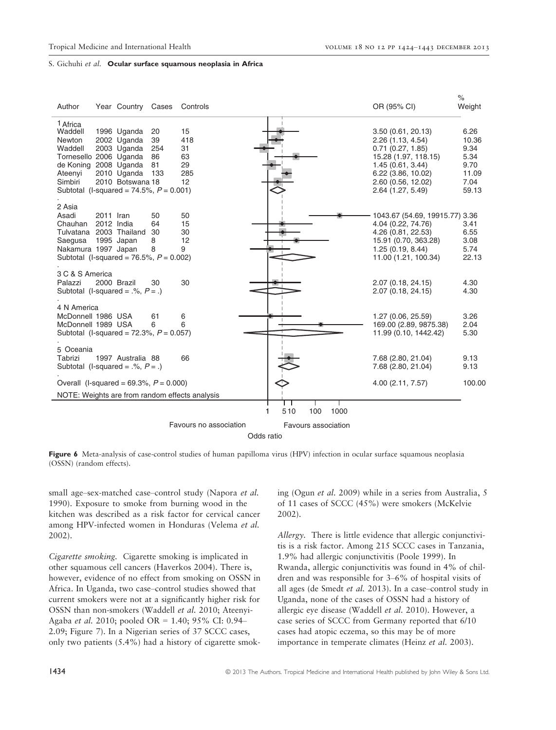$\alpha$ 

# S. Gichuhi et al. Ocular surface squamous neoplasia in Africa

| Author                                                                                                                                                                         |           | Year Country Cases                                                           |                                    | Controls                                       |         |                     |     |      | OR (95% CI)                                                                                                                                                             | 70<br>Weight                                                    |
|--------------------------------------------------------------------------------------------------------------------------------------------------------------------------------|-----------|------------------------------------------------------------------------------|------------------------------------|------------------------------------------------|---------|---------------------|-----|------|-------------------------------------------------------------------------------------------------------------------------------------------------------------------------|-----------------------------------------------------------------|
| <sup>1</sup> Africa<br>Waddell<br>Newton<br>Waddell<br>Tornesello 2006 Uganda<br>de Koning 2008 Uganda<br>Ateenyi<br>Simbiri<br>Subtotal (I-squared = $74.5\%$ , $P = 0.001$ ) |           | 1996 Uganda<br>2002 Uganda<br>2003 Uganda<br>2010 Uganda<br>2010 Botswana 18 | 20<br>39<br>254<br>86<br>81<br>133 | 15<br>418<br>31<br>63<br>29<br>285<br>12       |         |                     |     |      | 3.50(0.61, 20.13)<br>2.26 (1.13, 4.54)<br>0.71(0.27, 1.85)<br>15.28 (1.97, 118.15)<br>1.45(0.61, 3.44)<br>6.22 (3.86, 10.02)<br>2.60 (0.56, 12.02)<br>2.64 (1.27, 5.49) | 6.26<br>10.36<br>9.34<br>5.34<br>9.70<br>11.09<br>7.04<br>59.13 |
| 2 Asia<br>Asadi<br>Chauhan<br>Tulvatana 2003 Thailand<br>Saegusa<br>Nakamura 1997 Japan<br>Subtotal (I-squared = 76.5%, $P = 0.002$ )                                          | 2011 Iran | 2012 India<br>1995 Japan                                                     | 50<br>64<br>30<br>8<br>8           | 50<br>15<br>30<br>12<br>9                      |         |                     |     |      | 1043.67 (54.69, 19915.77) 3.36<br>4.04 (0.22, 74.76)<br>4.26 (0.81, 22.53)<br>15.91 (0.70, 363.28)<br>1.25(0.19, 8.44)<br>11.00 (1.21, 100.34)                          | 3.41<br>6.55<br>3.08<br>5.74<br>22.13                           |
| 3 C & S America<br>Palazzi<br>Subtotal (I-squared = $.$ %, $P = .$ )                                                                                                           |           | 2000 Brazil                                                                  | 30                                 | 30                                             |         |                     |     |      | 2.07 (0.18, 24.15)<br>2.07 (0.18, 24.15)                                                                                                                                | 4.30<br>4.30                                                    |
| 4 N America<br>McDonnell 1986 USA<br>McDonnell 1989 USA<br>Subtotal (I-squared = $72.3\%$ , $P = 0.057$ )                                                                      |           |                                                                              | 61<br>6                            | 6<br>6                                         |         |                     |     |      | 1.27 (0.06, 25.59)<br>169.00 (2.89, 9875.38)<br>11.99 (0.10, 1442.42)                                                                                                   | 3.26<br>2.04<br>5.30                                            |
| 5 Oceania<br>Tabrizi<br>Subtotal (I-squared = $.$ %, $P = .$ )                                                                                                                 |           | 1997 Australia 88                                                            |                                    | 66                                             |         |                     |     |      | 7.68 (2.80, 21.04)<br>7.68 (2.80, 21.04)                                                                                                                                | 9.13<br>9.13                                                    |
| Overall (I-squared = $69.3\%$ , $P = 0.000$ )                                                                                                                                  |           |                                                                              |                                    |                                                |         |                     |     |      | 4.00 (2.11, 7.57)                                                                                                                                                       | 100.00                                                          |
|                                                                                                                                                                                |           |                                                                              |                                    | NOTE: Weights are from random effects analysis |         |                     |     |      |                                                                                                                                                                         |                                                                 |
|                                                                                                                                                                                |           |                                                                              |                                    |                                                | 1       | 510                 | 100 | 1000 |                                                                                                                                                                         |                                                                 |
|                                                                                                                                                                                |           |                                                                              |                                    | Favours no association                         |         | Favours association |     |      |                                                                                                                                                                         |                                                                 |
|                                                                                                                                                                                |           |                                                                              |                                    |                                                | $O = 1$ |                     |     |      |                                                                                                                                                                         |                                                                 |

Odds ratio

Figure 6 Meta-analysis of case-control studies of human papilloma virus (HPV) infection in ocular surface squamous neoplasia (OSSN) (random effects).

small age–sex-matched case–control study (Napora et al. 1990). Exposure to smoke from burning wood in the kitchen was described as a risk factor for cervical cancer among HPV-infected women in Honduras (Velema et al. 2002).

Cigarette smoking. Cigarette smoking is implicated in other squamous cell cancers (Haverkos 2004). There is, however, evidence of no effect from smoking on OSSN in Africa. In Uganda, two case–control studies showed that current smokers were not at a significantly higher risk for OSSN than non-smokers (Waddell et al. 2010; Ateenyi-Agaba et al. 2010; pooled OR = 1.40; 95% CI: 0.94– 2.09; Figure 7). In a Nigerian series of 37 SCCC cases, only two patients (5.4%) had a history of cigarette smoking (Ogun et al. 2009) while in a series from Australia, 5 of 11 cases of SCCC (45%) were smokers (McKelvie 2002).

Allergy. There is little evidence that allergic conjunctivitis is a risk factor. Among 215 SCCC cases in Tanzania, 1.9% had allergic conjunctivitis (Poole 1999). In Rwanda, allergic conjunctivitis was found in 4% of children and was responsible for 3–6% of hospital visits of all ages (de Smedt et al. 2013). In a case–control study in Uganda, none of the cases of OSSN had a history of allergic eye disease (Waddell et al. 2010). However, a case series of SCCC from Germany reported that 6/10 cases had atopic eczema, so this may be of more importance in temperate climates (Heinz et al. 2003).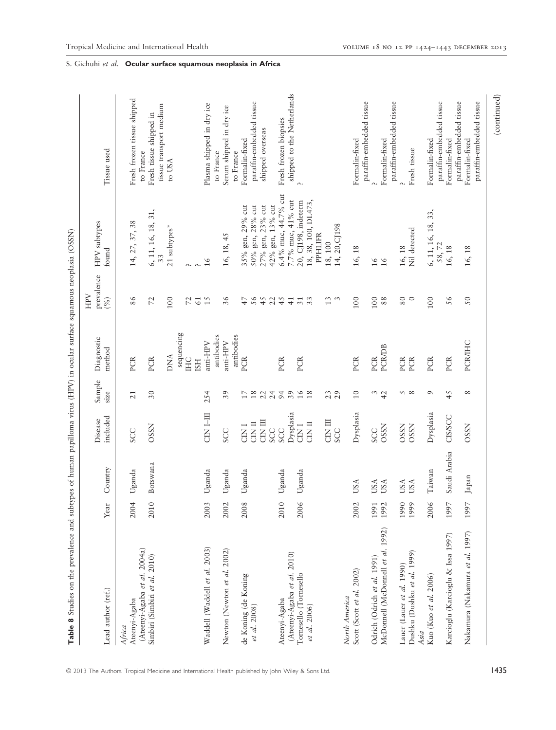| Table 8 Studies on the prevalence and subtypes of human papilloma virus (HPV) in ocular surface squamous neoplasia (OSSN) |                        |              |                     |                 |                        |                          |                                         |                                            |
|---------------------------------------------------------------------------------------------------------------------------|------------------------|--------------|---------------------|-----------------|------------------------|--------------------------|-----------------------------------------|--------------------------------------------|
| Lead author (ref.)                                                                                                        | $\operatorname*{Year}$ | Country      | included<br>Disease | Sample<br>size  | Diagnostic<br>method   | prevalence<br>NHH<br>(%) | HPV subtypes<br>found                   | Tissue used                                |
| Ateenyi-Agaba<br>Africa                                                                                                   | 2004                   | Uganda       | <b>SCC</b>          | $\overline{21}$ | PCR                    | 86                       | 14, 27, 37, 38                          | Fresh frozen tissue shipped                |
| (Ateenyi-Agaba et al. 2004a)<br>Simbiri (Simbiri et al. 2010)                                                             | 2010                   | Botswana     | <b>OSSN</b>         | $30\,$          | PCR                    | $\mathcal{L}$            | 6, 11, 16, 18, 31,<br>33                | Fresh tissue shipped in<br>to France       |
|                                                                                                                           |                        |              |                     |                 | <b>DNA</b>             | 100                      | 21 subtypes*                            | tissue transport medium<br>to USA          |
|                                                                                                                           |                        |              |                     |                 | sequencing<br>HC       | $\overline{z}$           | Λ.                                      |                                            |
|                                                                                                                           |                        |              |                     |                 | <b>ISH</b>             | $61$                     | $\alpha$                                |                                            |
| Waddell (Waddell et al. 2003)                                                                                             | 2003                   | Uganda       | CIN I-III           | 254             | antibodies<br>anti-HPV | 15                       | 16                                      | Plasma shipped in dry ice<br>to France     |
| Newton (Newton et al. 2002)                                                                                               | 2002                   | Uganda       | SCC                 | 39              | antibodies<br>anti-HPV | 36                       | 16, 18, 45                              | Serum shipped in dry ice<br>to France      |
| de Koning (de Koning                                                                                                      | 2008                   |              | <b>CINT</b>         | $\Box$          | PCR                    | 47                       |                                         | Formalin-fixed                             |
| et al. 2008)                                                                                                              |                        | Uganda       | CIN II              | $18\,$          |                        | 56                       | gen, 28% cut<br>35% gen, 29% cut<br>50% | paraffin-embedded tissue                   |
|                                                                                                                           |                        |              | <b>CIN III</b>      | 22              |                        | 45                       | 27% gen, 23% cut                        | shipped overseas                           |
|                                                                                                                           |                        |              | <b>SCC</b>          | 24              |                        | 22                       | 42% gen, 13% cut                        |                                            |
| Ateenyi-Agaba                                                                                                             | $\circ$<br>201         | Uganda       | <b>SCC</b>          | 94              | PCR                    | 45                       | 6.4% muc, 44.7% cut                     | Fresh frozen biopsies                      |
| (Ateenyi-Agaba et al. 2010)                                                                                               |                        |              | Dysplasia           | 39              |                        | $\overline{41}$          | 7.7% muc, 41% cut                       | shipped to the Netherlands                 |
| Tornesello (Tornesello                                                                                                    | 2006                   | Uganda       | CIN <sub>1</sub>    | 16              | PCR                    | $\overline{31}$          | 20, CJ198, indeterm                     |                                            |
| et al. 2006)                                                                                                              |                        |              | $CIN$ II            | $18$            |                        | 33                       | 18, 38, 100, DL473,<br><b>PPHLIFR</b>   |                                            |
|                                                                                                                           |                        |              |                     |                 |                        |                          |                                         |                                            |
|                                                                                                                           |                        |              | EI KID<br>SCC       | 23              |                        | $\frac{3}{2}$ $\,$ $\,$  | 18, 100                                 |                                            |
|                                                                                                                           |                        |              |                     |                 |                        |                          | 14, 20, CJ 198                          |                                            |
| Scott (Scott et al. 2002)<br>North America                                                                                | 2002                   | USA          | Dysplasia           | $\Xi$           | PCR                    | 100                      | 16, 18                                  | paraffin-embedded tissue<br>Formalin-fixed |
| Odrich (Odrich et al. 1991)                                                                                               | 1991                   | USA          | <b>SCC</b>          |                 | PCR                    | 100                      |                                         |                                            |
| McDonnell (McDonnell et al. 1992)                                                                                         | 1992                   | USA          | <b>OSSN</b>         | $\frac{3}{4}$   | <b>PCR/DB</b>          | 88                       | $\frac{91}{91}$                         | Formalin-fixed                             |
|                                                                                                                           |                        |              |                     |                 |                        |                          |                                         | paraffin-embedded tissue                   |
| Lauer (Lauer et al. 1990)                                                                                                 | 1990                   | USA          | <b>OSSN</b>         | 58              | <b>PCR</b>             | 80                       | 16, 18                                  |                                            |
| Dushku (Dushku et al. 1999)<br>Asia                                                                                       | 1999                   | USA          | <b>OSSN</b>         |                 | PCR                    | $\circ$                  | Nil detected                            | Fresh tissue                               |
| Kuo (Kuo et al. 2006)                                                                                                     | 2006                   | Taiwan       | Dysplasia           | $\sigma$        | PCR                    | 100                      | 6, 11, 16, 18, 33,<br>58, 72            | paraffin-embedded tissue<br>Formalin-fixed |
| Karcioglu (Karcioglu & Issa 1997)                                                                                         | 1997                   | Saudi Arabia | CIS/SCC             | 45              | PCR                    | 56                       | 16, 18                                  | Formalin-fixed                             |
|                                                                                                                           |                        |              |                     |                 |                        |                          |                                         | paraffin-embedded tissue                   |
| Nakamura (Nakamura et al. 1997)                                                                                           | 1997                   | Japan        | <b>OSSN</b>         | ${}^{\circ}$    | PCR/IHC                | 50                       | 16, 18                                  | paraffin-embedded tissue<br>Formalin-fixed |
|                                                                                                                           |                        |              |                     |                 |                        |                          |                                         | (continued)                                |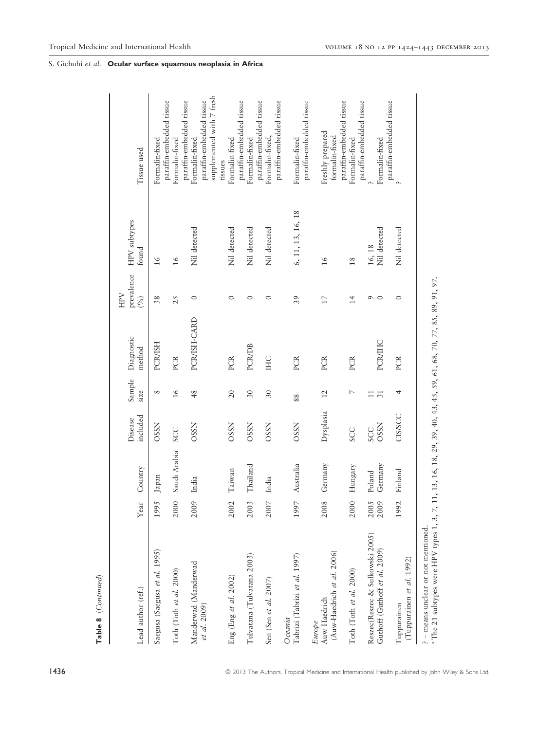| Lead author (ref.)                                               | Year | Country           | included<br>Disease       | Sample<br>size            | Diagnostic<br>method | prevalence<br>HPV<br>(%) | HPV subtypes<br>found  | Tissue used                                                                                         |
|------------------------------------------------------------------|------|-------------------|---------------------------|---------------------------|----------------------|--------------------------|------------------------|-----------------------------------------------------------------------------------------------------|
| Saegusa (Saegusa et al. 1995)                                    | 1995 | Japan             | <b>OSSN</b>               | $^{\circ}$                | <b>PCR/ISH</b>       | 38                       | $\frac{6}{ }$          | Formalin-fixed                                                                                      |
| Toth (Toth et al. 2000)                                          | 2000 | Saudi Arabia      | <b>SCC</b>                | $\frac{6}{2}$             | PCR                  | 25                       | $\frac{6}{ }$          | paraffin-embedded tissue<br>Formalin-fixed                                                          |
| Manderwad (Manderwad<br>et al. 2009)                             | 2009 | India             | <b>OSSN</b>               | 48                        | PCR/ISH-CARD         | $\circ$                  | Nil detected           | supplemented with 7 fresh<br>paraffin-embedded tissue<br>paraffin-embedded tissue<br>Formalin-fixed |
| Eng (Eng et al. 2002)                                            | 2002 | Taiwan            | <b>OSSN</b>               | 20                        | PCR                  | $\circ$                  | Nil detected           | Formalin-fixed<br>tissues                                                                           |
| Tulvatana (Tulvatana 2003)                                       | 2003 | Thailand          | <b>OSSN</b>               | 30                        | <b>PCR/DB</b>        | $\circ$                  | Nil detected           | paraffin-embedded tissue<br>Formalin-fixed                                                          |
| Sen (Sen et al. 2007)                                            | 2007 | India             | <b>OSSN</b>               | 30                        | IHC                  | $\circ$                  | Nil detected           | paraffin-embedded tissue<br>paraffin-embedded tissue<br>Formalin-fixed,                             |
| Tabrizi (Tabrizi et al. 1997)<br>Oceania                         | 1997 | Australia         | <b>OSSN</b>               | 88                        | PCR                  | 39                       | 6, 11, 13, 16, 18      | Formalin-fixed                                                                                      |
| (Auw-Haedrich et al. 2006)<br>Auw-Haedrich<br>Europe             | 2008 | Germany           | Dysplasia                 | 12                        | PCR                  | 17                       | $\frac{6}{ }$          | paraffin-embedded tissue<br>Freshly prepared<br>formalin-fixed                                      |
| Toth (Toth et al. 2000)                                          | 2000 | Hungary           | <b>SCC</b>                | $\overline{ }$            | PCR                  | $\overline{14}$          | 18                     | paraffin-embedded tissue<br>Formalin-fixed                                                          |
| Reszec(Reszec & Sulkowski 2005)<br>Guthoff (Guthoff et al. 2009) | 2005 | Germany<br>Poland | <b>OSSN</b><br><b>SCC</b> | $\overline{31}$<br>$\Box$ | PCR/IHC              | $\circ$<br>$\circ$       | Nil detected<br>16, 18 | paraffin-embedded tissue<br>Formalin-fixed                                                          |
| (Tuppurainen et al. 1992)<br>Tuppurainen                         | 1992 | Finland           | CISSSCC                   | 4                         | PCR                  | $\circ$                  | Nil detected           | paraffin-embedded tissue                                                                            |
| - means unclear or not mentioned.                                |      |                   |                           |                           |                      |                          |                        |                                                                                                     |

\*The 21 subtypes were HPV types 1, 3, 7, 11, 13, 16, 18, 29, 39, 40, 43, 45, 59, 61, 68, 70, 77, 85, 89, 91, 97.

\*The 21 subtypes were HPV types 1, 3, 7, 11, 13, 16, 18, 29, 39, 40, 43, 45, 59, 61, 68, 70, 77, 85, 89, 91, 97.

Table 8 (Continued)

Table 8 (Continued)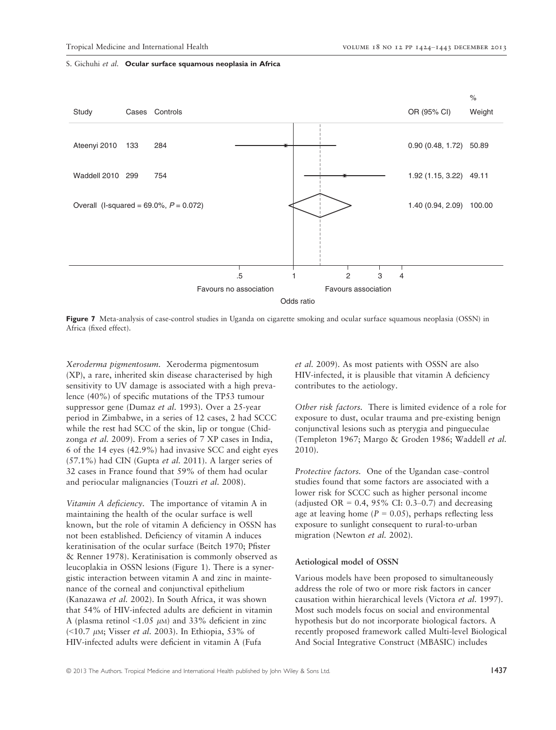

Figure 7 Meta-analysis of case-control studies in Uganda on cigarette smoking and ocular surface squamous neoplasia (OSSN) in Africa (fixed effect).

Xeroderma pigmentosum. Xeroderma pigmentosum (XP), a rare, inherited skin disease characterised by high sensitivity to UV damage is associated with a high prevalence (40%) of specific mutations of the TP53 tumour suppressor gene (Dumaz et al. 1993). Over a 25-year period in Zimbabwe, in a series of 12 cases, 2 had SCCC while the rest had SCC of the skin, lip or tongue (Chidzonga et al. 2009). From a series of 7 XP cases in India, 6 of the 14 eyes (42.9%) had invasive SCC and eight eyes  $(57.1\%)$  had CIN (Gupta *et al.* 2011). A larger series of 32 cases in France found that 59% of them had ocular and periocular malignancies (Touzri et al. 2008).

Vitamin A deficiency. The importance of vitamin A in maintaining the health of the ocular surface is well known, but the role of vitamin A deficiency in OSSN has not been established. Deficiency of vitamin A induces keratinisation of the ocular surface (Beitch 1970; Pfister & Renner 1978). Keratinisation is commonly observed as leucoplakia in OSSN lesions (Figure 1). There is a synergistic interaction between vitamin A and zinc in maintenance of the corneal and conjunctival epithelium (Kanazawa et al. 2002). In South Africa, it was shown that 54% of HIV-infected adults are deficient in vitamin A (plasma retinol <1.05  $\mu$ M) and 33% deficient in zinc (<10.7  $\mu$ M; Visser *et al.* 2003). In Ethiopia, 53% of HIV-infected adults were deficient in vitamin A (Fufa

et al. 2009). As most patients with OSSN are also HIV-infected, it is plausible that vitamin A deficiency contributes to the aetiology.

Other risk factors. There is limited evidence of a role for exposure to dust, ocular trauma and pre-existing benign conjunctival lesions such as pterygia and pingueculae (Templeton 1967; Margo & Groden 1986; Waddell et al. 2010).

Protective factors. One of the Ugandan case–control studies found that some factors are associated with a lower risk for SCCC such as higher personal income (adjusted OR =  $0.4$ , 95% CI: 0.3–0.7) and decreasing age at leaving home ( $P = 0.05$ ), perhaps reflecting less exposure to sunlight consequent to rural-to-urban migration (Newton *et al.* 2002).

# Aetiological model of OSSN

Various models have been proposed to simultaneously address the role of two or more risk factors in cancer causation within hierarchical levels (Victora et al. 1997). Most such models focus on social and environmental hypothesis but do not incorporate biological factors. A recently proposed framework called Multi-level Biological And Social Integrative Construct (MBASIC) includes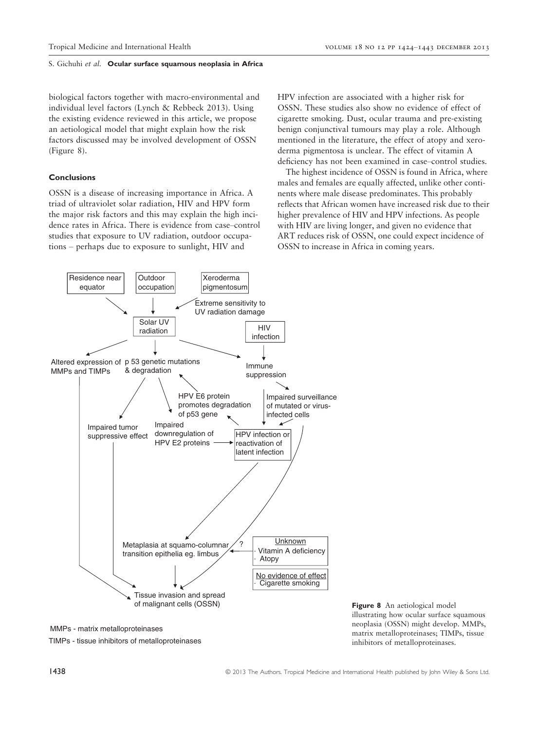biological factors together with macro-environmental and individual level factors (Lynch & Rebbeck 2013). Using the existing evidence reviewed in this article, we propose an aetiological model that might explain how the risk factors discussed may be involved development of OSSN (Figure 8).

# Conclusions

OSSN is a disease of increasing importance in Africa. A triad of ultraviolet solar radiation, HIV and HPV form the major risk factors and this may explain the high incidence rates in Africa. There is evidence from case–control studies that exposure to UV radiation, outdoor occupations – perhaps due to exposure to sunlight, HIV and

HPV infection are associated with a higher risk for OSSN. These studies also show no evidence of effect of cigarette smoking. Dust, ocular trauma and pre-existing benign conjunctival tumours may play a role. Although mentioned in the literature, the effect of atopy and xeroderma pigmentosa is unclear. The effect of vitamin A deficiency has not been examined in case–control studies.

The highest incidence of OSSN is found in Africa, where males and females are equally affected, unlike other continents where male disease predominates. This probably reflects that African women have increased risk due to their higher prevalence of HIV and HPV infections. As people with HIV are living longer, and given no evidence that ART reduces risk of OSSN, one could expect incidence of OSSN to increase in Africa in coming years.



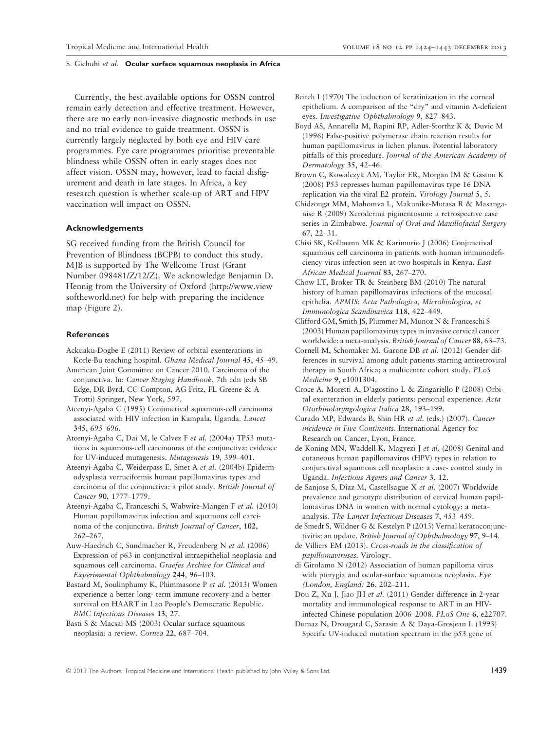Currently, the best available options for OSSN control remain early detection and effective treatment. However, there are no early non-invasive diagnostic methods in use and no trial evidence to guide treatment. OSSN is currently largely neglected by both eye and HIV care programmes. Eye care programmes prioritise preventable blindness while OSSN often in early stages does not affect vision. OSSN may, however, lead to facial disfigurement and death in late stages. In Africa, a key research question is whether scale-up of ART and HPV vaccination will impact on OSSN.

# Acknowledgements

SG received funding from the British Council for Prevention of Blindness (BCPB) to conduct this study. MJB is supported by The Wellcome Trust (Grant Number 098481/Z/12/Z). We acknowledge Benjamin D. Hennig from the University of Oxford (http://www.view softheworld.net) for help with preparing the incidence map (Figure 2).

#### References

- Ackuaku-Dogbe E (2011) Review of orbital exenterations in Korle-Bu teaching hospital. Ghana Medical Journal 45, 45–49.
- American Joint Committee on Cancer 2010. Carcinoma of the conjunctiva. In: Cancer Staging Handbook, 7th edn (eds SB Edge, DR Byrd, CC Compton, AG Fritz, FL Greene & A Trotti) Springer, New York, 597.
- Ateenyi-Agaba C (1995) Conjunctival squamous-cell carcinoma associated with HIV infection in Kampala, Uganda. Lancet 345, 695–696.
- Ateenyi-Agaba C, Dai M, le Calvez F et al. (2004a) TP53 mutations in squamous-cell carcinomas of the conjunctiva: evidence for UV-induced mutagenesis. Mutagenesis 19, 399–401.
- Ateenyi-Agaba C, Weiderpass E, Smet A et al. (2004b) Epidermodysplasia verruciformis human papillomavirus types and carcinoma of the conjunctiva: a pilot study. British Journal of Cancer 90, 1777–1779.
- Ateenyi-Agaba C, Franceschi S, Wabwire-Mangen F et al. (2010) Human papillomavirus infection and squamous cell carcinoma of the conjunctiva. British Journal of Cancer, 102, 262–267.

Auw-Haedrich C, Sundmacher R, Freudenberg N et al. (2006) Expression of p63 in conjunctival intraepithelial neoplasia and squamous cell carcinoma. Graefes Archive for Clinical and Experimental Ophthalmology 244, 96–103.

Bastard M, Soulinphumy K, Phimmasone P et al. (2013) Women experience a better long- term immune recovery and a better survival on HAART in Lao People's Democratic Republic. BMC Infectious Diseases 13, 27.

Basti S & Macsai MS (2003) Ocular surface squamous neoplasia: a review. Cornea 22, 687–704.

- Beitch I (1970) The induction of keratinization in the corneal epithelium. A comparison of the "dry" and vitamin A-deficient eyes. Investigative Ophthalmology 9, 827–843.
- Boyd AS, Annarella M, Rapini RP, Adler-Storthz K & Duvic M (1996) False-positive polymerase chain reaction results for human papillomavirus in lichen planus. Potential laboratory pitfalls of this procedure. Journal of the American Academy of Dermatology 35, 42–46.
- Brown C, Kowalczyk AM, Taylor ER, Morgan IM & Gaston K (2008) P53 represses human papillomavirus type 16 DNA replication via the viral E2 protein. Virology Journal 5, 5.
- Chidzonga MM, Mahomva L, Makunike-Mutasa R & Masanganise R (2009) Xeroderma pigmentosum: a retrospective case series in Zimbabwe. Journal of Oral and Maxillofacial Surgery 67, 22–31.
- Chisi SK, Kollmann MK & Karimurio J (2006) Conjunctival squamous cell carcinoma in patients with human immunodeficiency virus infection seen at two hospitals in Kenya. East African Medical Journal 83, 267–270.
- Chow LT, Broker TR & Steinberg BM (2010) The natural history of human papillomavirus infections of the mucosal epithelia. APMIS: Acta Pathologica, Microbiologica, et Immunologica Scandinavica 118, 422–449.
- Clifford GM, Smith JS, Plummer M, Munoz N & Franceschi S (2003) Human papillomavirus types in invasive cervical cancer worldwide: a meta-analysis. British Journal of Cancer 88, 63–73.
- Cornell M, Schomaker M, Garone DB et al. (2012) Gender differences in survival among adult patients starting antiretroviral therapy in South Africa: a multicentre cohort study. PLoS Medicine 9, e1001304.
- Croce A, Moretti A, D'agostino L & Zingariello P (2008) Orbital exenteration in elderly patients: personal experience. Acta Otorhinolaryngologica Italica 28, 193–199.
- Curado MP, Edwards B, Shin HR et al. (eds.) (2007). Cancer incidence in Five Continents. International Agency for Research on Cancer, Lyon, France.
- de Koning MN, Waddell K, Magyezi J et al. (2008) Genital and cutaneous human papillomavirus (HPV) types in relation to conjunctival squamous cell neoplasia: a case- control study in Uganda. Infectious Agents and Cancer 3, 12.
- de Sanjose S, Diaz M, Castellsague X et al. (2007) Worldwide prevalence and genotype distribution of cervical human papillomavirus DNA in women with normal cytology: a metaanalysis. The Lancet Infectious Diseases 7, 453–459.
- de Smedt S, Wildner G & Kestelyn P (2013) Vernal keratoconjunctivitis: an update. British Journal of Ophthalmology 97, 9–14.
- de Villiers EM (2013). Cross-roads in the classification of papillomaviruses. Virology.
- di Girolamo N (2012) Association of human papilloma virus with pterygia and ocular-surface squamous neoplasia. Eye (London, England) 26, 202–211.
- Dou Z, Xu J, Jiao JH et al. (2011) Gender difference in 2-year mortality and immunological response to ART in an HIVinfected Chinese population 2006–2008. PLoS One 6, e22707.
- Dumaz N, Drougard C, Sarasin A & Daya-Grosjean L (1993) Specific UV-induced mutation spectrum in the p53 gene of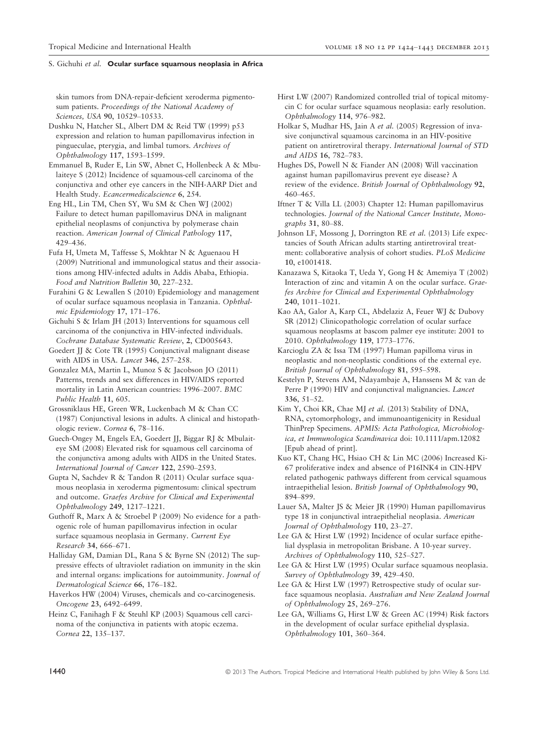skin tumors from DNA-repair-deficient xeroderma pigmentosum patients. Proceedings of the National Academy of Sciences, USA 90, 10529–10533.

Dushku N, Hatcher SL, Albert DM & Reid TW (1999) p53 expression and relation to human papillomavirus infection in pingueculae, pterygia, and limbal tumors. Archives of Ophthalmology 117, 1593–1599.

Emmanuel B, Ruder E, Lin SW, Abnet C, Hollenbeck A & Mbulaiteye S (2012) Incidence of squamous-cell carcinoma of the conjunctiva and other eye cancers in the NIH-AARP Diet and Health Study. Ecancermedicalscience 6, 254.

Eng HL, Lin TM, Chen SY, Wu SM & Chen WJ (2002) Failure to detect human papillomavirus DNA in malignant epithelial neoplasms of conjunctiva by polymerase chain reaction. American Journal of Clinical Pathology 117, 429–436.

Fufa H, Umeta M, Taffesse S, Mokhtar N & Aguenaou H (2009) Nutritional and immunological status and their associations among HIV-infected adults in Addis Ababa, Ethiopia. Food and Nutrition Bulletin 30, 227–232.

Furahini G & Lewallen S (2010) Epidemiology and management of ocular surface squamous neoplasia in Tanzania. Ophthalmic Epidemiology 17, 171–176.

Gichuhi S & Irlam JH (2013) Interventions for squamous cell carcinoma of the conjunctiva in HIV-infected individuals. Cochrane Database Systematic Review, 2, CD005643.

Goedert JJ & Cote TR (1995) Conjunctival malignant disease with AIDS in USA. Lancet 346, 257–258.

Gonzalez MA, Martin L, Munoz S & Jacobson JO (2011) Patterns, trends and sex differences in HIV/AIDS reported mortality in Latin American countries: 1996–2007. BMC Public Health 11, 605.

Grossniklaus HE, Green WR, Luckenbach M & Chan CC (1987) Conjunctival lesions in adults. A clinical and histopathologic review. Cornea 6, 78–116.

Guech-Ongey M, Engels EA, Goedert JJ, Biggar RJ & Mbulaiteye SM (2008) Elevated risk for squamous cell carcinoma of the conjunctiva among adults with AIDS in the United States. International Journal of Cancer 122, 2590–2593.

Gupta N, Sachdev R & Tandon R (2011) Ocular surface squamous neoplasia in xeroderma pigmentosum: clinical spectrum and outcome. Graefes Archive for Clinical and Experimental Ophthalmology 249, 1217–1221.

Guthoff R, Marx A & Stroebel P (2009) No evidence for a pathogenic role of human papillomavirus infection in ocular surface squamous neoplasia in Germany. Current Eye Research 34, 666–671.

Halliday GM, Damian DL, Rana S & Byrne SN (2012) The suppressive effects of ultraviolet radiation on immunity in the skin and internal organs: implications for autoimmunity. Journal of Dermatological Science 66, 176–182.

Haverkos HW (2004) Viruses, chemicals and co-carcinogenesis. Oncogene 23, 6492–6499.

Heinz C, Fanihagh F & Steuhl KP (2003) Squamous cell carcinoma of the conjunctiva in patients with atopic eczema. Cornea 22, 135–137.

Hirst LW (2007) Randomized controlled trial of topical mitomycin C for ocular surface squamous neoplasia: early resolution. Ophthalmology 114, 976–982.

Holkar S, Mudhar HS, Jain A et al. (2005) Regression of invasive conjunctival squamous carcinoma in an HIV-positive patient on antiretroviral therapy. International Journal of STD and AIDS 16, 782–783.

Hughes DS, Powell N & Fiander AN (2008) Will vaccination against human papillomavirus prevent eye disease? A review of the evidence. British Journal of Ophthalmology 92, 460–465.

Iftner T & Villa LL (2003) Chapter 12: Human papillomavirus technologies. Journal of the National Cancer Institute, Monographs 31, 80–88.

Johnson LF, Mossong J, Dorrington RE et al. (2013) Life expectancies of South African adults starting antiretroviral treatment: collaborative analysis of cohort studies. PLoS Medicine 10, e1001418.

Kanazawa S, Kitaoka T, Ueda Y, Gong H & Amemiya T (2002) Interaction of zinc and vitamin A on the ocular surface. Graefes Archive for Clinical and Experimental Ophthalmology 240, 1011–1021.

Kao AA, Galor A, Karp CL, Abdelaziz A, Feuer WJ & Dubovy SR (2012) Clinicopathologic correlation of ocular surface squamous neoplasms at bascom palmer eye institute: 2001 to 2010. Ophthalmology 119, 1773–1776.

Karcioglu ZA & Issa TM (1997) Human papilloma virus in neoplastic and non-neoplastic conditions of the external eye. British Journal of Ophthalmology 81, 595–598.

Kestelyn P, Stevens AM, Ndayambaje A, Hanssens M & van de Perre P (1990) HIV and conjunctival malignancies. Lancet 336, 51–52.

Kim Y, Choi KR, Chae MJ et al. (2013) Stability of DNA, RNA, cytomorphology, and immunoantigenicity in Residual ThinPrep Specimens. APMIS: Acta Pathologica, Microbiologica, et Immunologica Scandinavica doi: 10.1111/apm.12082 [Epub ahead of print].

Kuo KT, Chang HC, Hsiao CH & Lin MC (2006) Increased Ki-67 proliferative index and absence of P16INK4 in CIN-HPV related pathogenic pathways different from cervical squamous intraepithelial lesion. British Journal of Ophthalmology 90, 894–899.

Lauer SA, Malter JS & Meier JR (1990) Human papillomavirus type 18 in conjunctival intraepithelial neoplasia. American Journal of Ophthalmology 110, 23–27.

Lee GA & Hirst LW (1992) Incidence of ocular surface epithelial dysplasia in metropolitan Brisbane. A 10-year survey. Archives of Ophthalmology 110, 525–527.

Lee GA & Hirst LW (1995) Ocular surface squamous neoplasia. Survey of Ophthalmology 39, 429–450.

Lee GA & Hirst LW (1997) Retrospective study of ocular surface squamous neoplasia. Australian and New Zealand Journal of Ophthalmology 25, 269–276.

Lee GA, Williams G, Hirst LW & Green AC (1994) Risk factors in the development of ocular surface epithelial dysplasia. Ophthalmology 101, 360–364.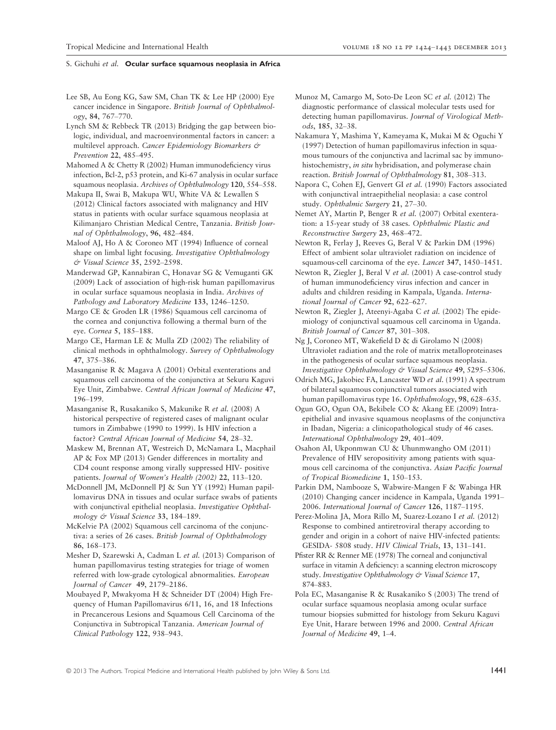- Lee SB, Au Eong KG, Saw SM, Chan TK & Lee HP (2000) Eye cancer incidence in Singapore. British Journal of Ophthalmology, 84, 767–770.
- Lynch SM & Rebbeck TR (2013) Bridging the gap between biologic, individual, and macroenvironmental factors in cancer: a multilevel approach. Cancer Epidemiology Biomarkers & Prevention 22, 485–495.

Mahomed A & Chetty R (2002) Human immunodeficiency virus infection, Bcl-2, p53 protein, and Ki-67 analysis in ocular surface squamous neoplasia. Archives of Ophthalmology 120, 554–558.

Makupa II, Swai B, Makupa WU, White VA & Lewallen S (2012) Clinical factors associated with malignancy and HIV status in patients with ocular surface squamous neoplasia at Kilimanjaro Christian Medical Centre, Tanzania. British Journal of Ophthalmology, 96, 482–484.

Maloof AJ, Ho A & Coroneo MT (1994) Influence of corneal shape on limbal light focusing. Investigative Ophthalmology & Visual Science 35, 2592–2598.

Manderwad GP, Kannabiran C, Honavar SG & Vemuganti GK (2009) Lack of association of high-risk human papillomavirus in ocular surface squamous neoplasia in India. Archives of Pathology and Laboratory Medicine 133, 1246–1250.

Margo CE & Groden LR (1986) Squamous cell carcinoma of the cornea and conjunctiva following a thermal burn of the eye. Cornea 5, 185–188.

Margo CE, Harman LE & Mulla ZD (2002) The reliability of clinical methods in ophthalmology. Survey of Ophthalmology 47, 375–386.

Masanganise R & Magava A (2001) Orbital exenterations and squamous cell carcinoma of the conjunctiva at Sekuru Kaguvi Eye Unit, Zimbabwe. Central African Journal of Medicine 47, 196–199.

Masanganise R, Rusakaniko S, Makunike R et al. (2008) A historical perspective of registered cases of malignant ocular tumors in Zimbabwe (1990 to 1999). Is HIV infection a factor? Central African Journal of Medicine 54, 28–32.

Maskew M, Brennan AT, Westreich D, McNamara L, Macphail AP & Fox MP (2013) Gender differences in mortality and CD4 count response among virally suppressed HIV- positive patients. Journal of Women's Health (2002) 22, 113–120.

McDonnell JM, McDonnell PJ & Sun YY (1992) Human papillomavirus DNA in tissues and ocular surface swabs of patients with conjunctival epithelial neoplasia. Investigative Ophthalmology & Visual Science 33, 184–189.

McKelvie PA (2002) Squamous cell carcinoma of the conjunctiva: a series of 26 cases. British Journal of Ophthalmology 86, 168–173.

Mesher D, Szarewski A, Cadman L et al. (2013) Comparison of human papillomavirus testing strategies for triage of women referred with low-grade cytological abnormalities. European Journal of Cancer 49, 2179–2186.

Moubayed P, Mwakyoma H & Schneider DT (2004) High Frequency of Human Papillomavirus 6/11, 16, and 18 Infections in Precancerous Lesions and Squamous Cell Carcinoma of the Conjunctiva in Subtropical Tanzania. American Journal of Clinical Pathology 122, 938–943.

- Munoz M, Camargo M, Soto-De Leon SC et al. (2012) The diagnostic performance of classical molecular tests used for detecting human papillomavirus. Journal of Virological Methods, 185, 32–38.
- Nakamura Y, Mashima Y, Kameyama K, Mukai M & Oguchi Y (1997) Detection of human papillomavirus infection in squamous tumours of the conjunctiva and lacrimal sac by immunohistochemistry, in situ hybridisation, and polymerase chain reaction. British Journal of Ophthalmology 81, 308–313.
- Napora C, Cohen EJ, Genvert GI et al. (1990) Factors associated with conjunctival intraepithelial neoplasia: a case control study. Ophthalmic Surgery 21, 27–30.
- Nemet AY, Martin P, Benger R et al. (2007) Orbital exenteration: a 15-year study of 38 cases. Ophthalmic Plastic and Reconstructive Surgery 23, 468–472.

Newton R, Ferlay J, Reeves G, Beral V & Parkin DM (1996) Effect of ambient solar ultraviolet radiation on incidence of squamous-cell carcinoma of the eye. Lancet 347, 1450–1451.

Newton R, Ziegler J, Beral V et al. (2001) A case-control study of human immunodeficiency virus infection and cancer in adults and children residing in Kampala, Uganda. International Journal of Cancer 92, 622–627.

Newton R, Ziegler J, Ateenyi-Agaba C et al. (2002) The epidemiology of conjunctival squamous cell carcinoma in Uganda. British Journal of Cancer 87, 301–308.

Ng J, Coroneo MT, Wakefield D & di Girolamo N (2008) Ultraviolet radiation and the role of matrix metalloproteinases in the pathogenesis of ocular surface squamous neoplasia. Investigative Ophthalmology & Visual Science 49, 5295-5306.

Odrich MG, Jakobiec FA, Lancaster WD et al. (1991) A spectrum of bilateral squamous conjunctival tumors associated with human papillomavirus type 16. Ophthalmology, 98, 628–635.

Ogun GO, Ogun OA, Bekibele CO & Akang EE (2009) Intraepithelial and invasive squamous neoplasms of the conjunctiva in Ibadan, Nigeria: a clinicopathological study of 46 cases. International Ophthalmology 29, 401–409.

Osahon AI, Ukponmwan CU & Uhunmwangho OM (2011) Prevalence of HIV seropositivity among patients with squamous cell carcinoma of the conjunctiva. Asian Pacific Journal of Tropical Biomedicine 1, 150–153.

Parkin DM, Nambooze S, Wabwire-Mangen F & Wabinga HR (2010) Changing cancer incidence in Kampala, Uganda 1991– 2006. International Journal of Cancer 126, 1187–1195.

Perez-Molina JA, Mora Rillo M, Suarez-Lozano I et al. (2012) Response to combined antiretroviral therapy according to gender and origin in a cohort of naive HIV-infected patients: GESIDA- 5808 study. HIV Clinical Trials, 13, 131–141.

Pfister RR & Renner ME (1978) The corneal and conjunctival surface in vitamin A deficiency: a scanning electron microscopy study. Investigative Ophthalmology & Visual Science 17, 874–883.

Pola EC, Masanganise R & Rusakaniko S (2003) The trend of ocular surface squamous neoplasia among ocular surface tumour biopsies submitted for histology from Sekuru Kaguvi Eye Unit, Harare between 1996 and 2000. Central African Journal of Medicine 49, 1–4.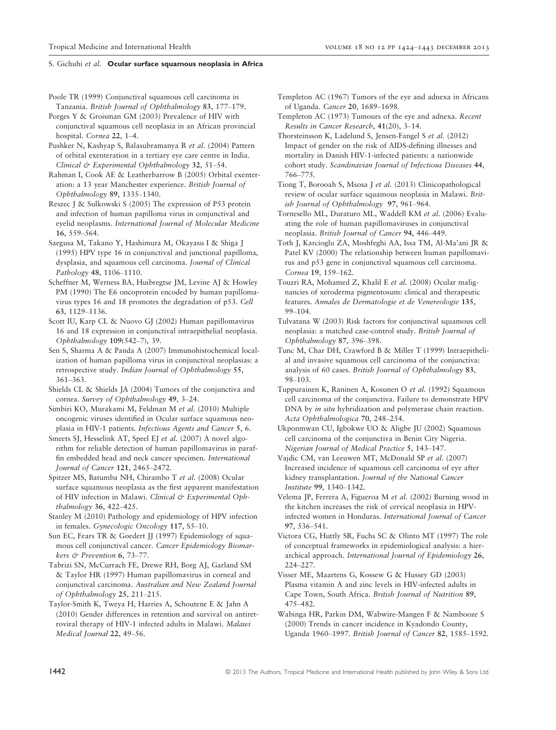Poole TR (1999) Conjunctival squamous cell carcinoma in Tanzania. British Journal of Ophthalmology 83, 177–179.

Porges Y & Groisman GM (2003) Prevalence of HIV with conjunctival squamous cell neoplasia in an African provincial hospital. Cornea 22, 1–4.

Pushker N, Kashyap S, Balasubramanya R et al. (2004) Pattern of orbital exenteration in a tertiary eye care centre in India. Clinical & Experimental Ophthalmology 32, 51–54.

Rahman I, Cook AE & Leatherbarrow B (2005) Orbital exenteration: a 13 year Manchester experience. British Journal of Ophthalmology 89, 1335–1340.

Reszec J & Sulkowski S (2005) The expression of P53 protein and infection of human papilloma virus in conjunctival and eyelid neoplasms. International Journal of Molecular Medicine 16, 559–564.

Saegusa M, Takano Y, Hashimura M, Okayasu I & Shiga J (1995) HPV type 16 in conjunctival and junctional papilloma, dysplasia, and squamous cell carcinoma. Journal of Clinical Pathology 48, 1106–1110.

Scheffner M, Werness BA, Huibregtse JM, Levine AJ & Howley PM (1990) The E6 oncoprotein encoded by human papillomavirus types 16 and 18 promotes the degradation of p53. Cell 63, 1129–1136.

Scott IU, Karp CL & Nuovo GJ (2002) Human papillomavirus 16 and 18 expression in conjunctival intraepithelial neoplasia. Ophthalmology 109(542–7), 39.

Sen S, Sharma A & Panda A (2007) Immunohistochemical localization of human papilloma virus in conjunctival neoplasias: a retrospective study. Indian Journal of Ophthalmology 55, 361–363.

Shields CL & Shields JA (2004) Tumors of the conjunctiva and cornea. Survey of Ophthalmology 49, 3–24.

Simbiri KO, Murakami M, Feldman M et al. (2010) Multiple oncogenic viruses identified in Ocular surface squamous neoplasia in HIV-1 patients. Infectious Agents and Cancer 5, 6.

Smeets SJ, Hesselink AT, Speel EJ et al. (2007) A novel algorithm for reliable detection of human papillomavirus in paraffin embedded head and neck cancer specimen. International Journal of Cancer 121, 2465–2472.

Spitzer MS, Batumba NH, Chirambo T et al. (2008) Ocular surface squamous neoplasia as the first apparent manifestation of HIV infection in Malawi. Clinical & Experimental Ophthalmology 36, 422–425.

Stanley M (2010) Pathology and epidemiology of HPV infection in females. Gynecologic Oncology 117, S5–10.

Sun EC, Fears TR & Goedert JJ (1997) Epidemiology of squamous cell conjunctival cancer. Cancer Epidemiology Biomarkers & Prevention 6, 73–77.

Tabrizi SN, McCurrach FE, Drewe RH, Borg AJ, Garland SM & Taylor HR (1997) Human papillomavirus in corneal and conjunctival carcinoma. Australian and New Zealand Journal of Ophthalmology 25, 211–215.

Taylor-Smith K, Tweya H, Harries A, Schoutene E & Jahn A (2010) Gender differences in retention and survival on antiretroviral therapy of HIV-1 infected adults in Malawi. Malawi Medical Journal 22, 49–56.

Templeton AC (1967) Tumors of the eye and adnexa in Africans of Uganda. Cancer 20, 1689–1698.

Templeton AC (1973) Tumours of the eye and adnexa. Recent Results in Cancer Research, 41(20), 3–14.

Thorsteinsson K, Ladelund S, Jensen-Fangel S et al. (2012) Impact of gender on the risk of AIDS-defining illnesses and mortality in Danish HIV-1-infected patients: a nationwide cohort study. Scandinavian Journal of Infectious Diseases 44, 766–775.

Tiong T, Borooah S, Msosa J et al. (2013) Clinicopathological review of ocular surface squamous neoplasia in Malawi. British Journal of Ophthalmology 97, 961–964.

Tornesello ML, Duraturo ML, Waddell KM et al. (2006) Evaluating the role of human papillomaviruses in conjunctival neoplasia. British Journal of Cancer 94, 446–449.

Toth J, Karcioglu ZA, Moshfeghi AA, Issa TM, Al-Ma'ani JR & Patel KV (2000) The relationship between human papillomavirus and p53 gene in conjunctival squamous cell carcinoma. Cornea 19, 159–162.

Touzri RA, Mohamed Z, Khalil E et al. (2008) Ocular malignancies of xeroderma pigmentosum: clinical and therapeutic features. Annales de Dermatologie et de Venereologie 135, 99–104.

Tulvatana W (2003) Risk factors for conjunctival squamous cell neoplasia: a matched case-control study. British Journal of Ophthalmology 87, 396–398.

Tunc M, Char DH, Crawford B & Miller T (1999) Intraepithelial and invasive squamous cell carcinoma of the conjunctiva: analysis of 60 cases. British Journal of Ophthalmology 83, 98–103.

Tuppurainen K, Raninen A, Kosunen O et al. (1992) Squamous cell carcinoma of the conjunctiva. Failure to demonstrate HPV DNA by *in situ* hybridization and polymerase chain reaction. Acta Ophthalmologica 70, 248–254.

Ukponmwan CU, Igbokwe UO & Aligbe JU (2002) Squamous cell carcinoma of the conjunctiva in Benin City Nigeria. Nigerian Journal of Medical Practice 5, 143–147.

Vajdic CM, van Leeuwen MT, McDonald SP et al. (2007) Increased incidence of squamous cell carcinoma of eye after kidney transplantation. Journal of the National Cancer Institute 99, 1340–1342.

Velema JP, Ferrera A, Figueroa M et al. (2002) Burning wood in the kitchen increases the risk of cervical neoplasia in HPVinfected women in Honduras. International Journal of Cancer 97, 536–541.

Victora CG, Huttly SR, Fuchs SC & Olinto MT (1997) The role of conceptual frameworks in epidemiological analysis: a hierarchical approach. International Journal of Epidemiology 26, 224–227.

Visser ME, Maartens G, Kossew G & Hussey GD (2003) Plasma vitamin A and zinc levels in HIV-infected adults in Cape Town, South Africa. British Journal of Nutrition 89, 475–482.

Wabinga HR, Parkin DM, Wabwire-Mangen F & Nambooze S (2000) Trends in cancer incidence in Kyadondo County, Uganda 1960–1997. British Journal of Cancer 82, 1585–1592.